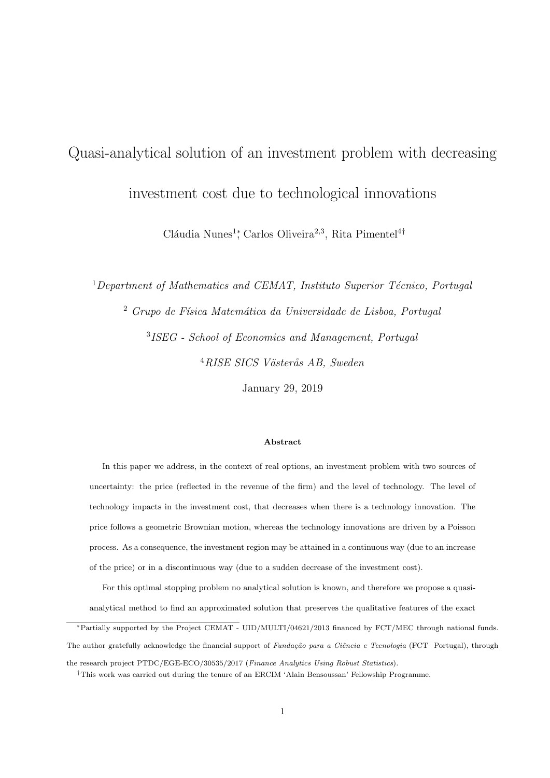# Quasi-analytical solution of an investment problem with decreasing

investment cost due to technological innovations

Cláudia Nunes<sup>1</sup><sup>\*</sup>, Carlos Oliveira<sup>2,3</sup>, Rita Pimentel<sup>4†</sup>

Department of Mathematics and CEMAT, Instituto Superior Técnico, Portugal Grupo de Física Matemática da Universidade de Lisboa, Portugal ISEG - School of Economics and Management, Portugal  $^{4}RISE$  SICS Västerås AB, Sweden

January 29, 2019

#### Abstract

In this paper we address, in the context of real options, an investment problem with two sources of uncertainty: the price (reflected in the revenue of the firm) and the level of technology. The level of technology impacts in the investment cost, that decreases when there is a technology innovation. The price follows a geometric Brownian motion, whereas the technology innovations are driven by a Poisson process. As a consequence, the investment region may be attained in a continuous way (due to an increase of the price) or in a discontinuous way (due to a sudden decrease of the investment cost).

For this optimal stopping problem no analytical solution is known, and therefore we propose a quasianalytical method to find an approximated solution that preserves the qualitative features of the exact

<sup>∗</sup>Partially supported by the Project CEMAT - UID/MULTI/04621/2013 financed by FCT/MEC through national funds. The author gratefully acknowledge the financial support of Fundação para a Ciência e Tecnologia (FCT Portugal), through

the research project PTDC/EGE-ECO/30535/2017 (Finance Analytics Using Robust Statistics).

<sup>†</sup>This work was carried out during the tenure of an ERCIM 'Alain Bensoussan' Fellowship Programme.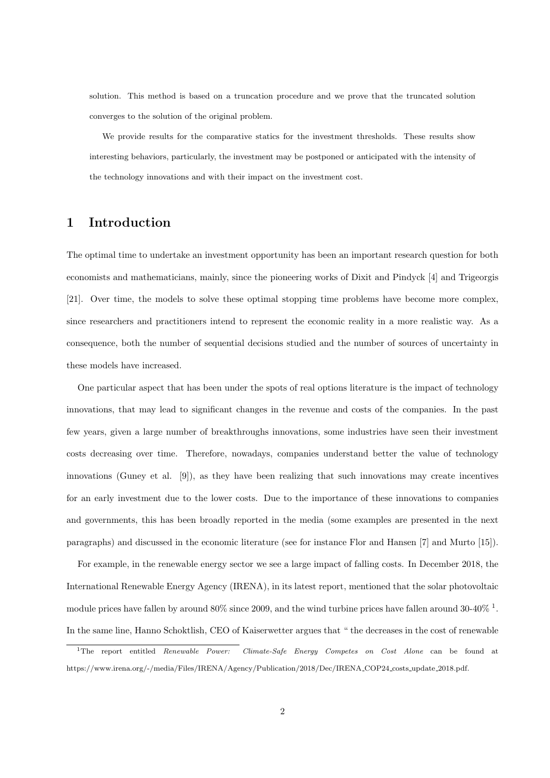solution. This method is based on a truncation procedure and we prove that the truncated solution converges to the solution of the original problem.

We provide results for the comparative statics for the investment thresholds. These results show interesting behaviors, particularly, the investment may be postponed or anticipated with the intensity of the technology innovations and with their impact on the investment cost.

### 1 Introduction

The optimal time to undertake an investment opportunity has been an important research question for both economists and mathematicians, mainly, since the pioneering works of Dixit and Pindyck [4] and Trigeorgis [21]. Over time, the models to solve these optimal stopping time problems have become more complex, since researchers and practitioners intend to represent the economic reality in a more realistic way. As a consequence, both the number of sequential decisions studied and the number of sources of uncertainty in these models have increased.

One particular aspect that has been under the spots of real options literature is the impact of technology innovations, that may lead to significant changes in the revenue and costs of the companies. In the past few years, given a large number of breakthroughs innovations, some industries have seen their investment costs decreasing over time. Therefore, nowadays, companies understand better the value of technology innovations (Guney et al. [9]), as they have been realizing that such innovations may create incentives for an early investment due to the lower costs. Due to the importance of these innovations to companies and governments, this has been broadly reported in the media (some examples are presented in the next paragraphs) and discussed in the economic literature (see for instance Flor and Hansen [7] and Murto [15]).

For example, in the renewable energy sector we see a large impact of falling costs. In December 2018, the International Renewable Energy Agency (IRENA), in its latest report, mentioned that the solar photovoltaic module prices have fallen by around 80% since 2009, and the wind turbine prices have fallen around 30-40% <sup>1</sup>. In the same line, Hanno Schoktlish, CEO of Kaiserwetter argues that " the decreases in the cost of renewable

<sup>&</sup>lt;sup>1</sup>The report entitled *Renewable Power: Climate-Safe Energy Competes on Cost Alone* can be found at https://www.irena.org/-/media/Files/IRENA/Agency/Publication/2018/Dec/IRENA COP24 costs update 2018.pdf.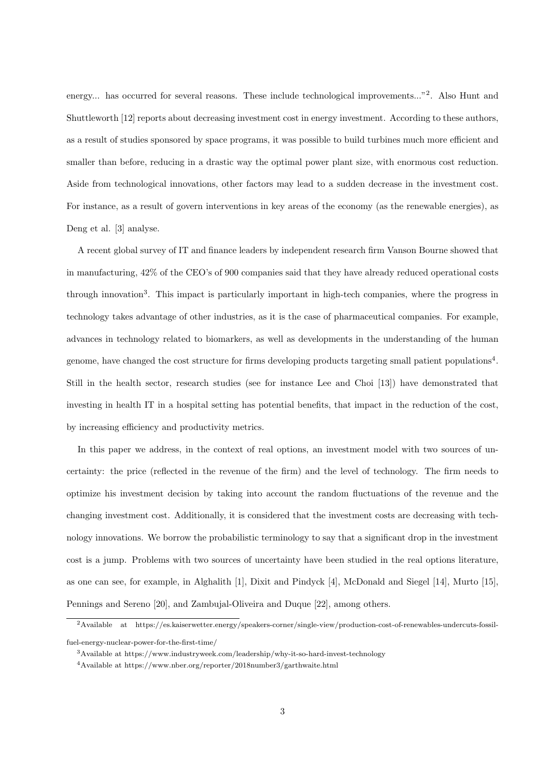energy... has occurred for several reasons. These include technological improvements..."<sup>2</sup>. Also Hunt and Shuttleworth [12] reports about decreasing investment cost in energy investment. According to these authors, as a result of studies sponsored by space programs, it was possible to build turbines much more efficient and smaller than before, reducing in a drastic way the optimal power plant size, with enormous cost reduction. Aside from technological innovations, other factors may lead to a sudden decrease in the investment cost. For instance, as a result of govern interventions in key areas of the economy (as the renewable energies), as Deng et al. [3] analyse.

A recent global survey of IT and finance leaders by independent research firm Vanson Bourne showed that in manufacturing, 42% of the CEO's of 900 companies said that they have already reduced operational costs through innovation<sup>3</sup>. This impact is particularly important in high-tech companies, where the progress in technology takes advantage of other industries, as it is the case of pharmaceutical companies. For example, advances in technology related to biomarkers, as well as developments in the understanding of the human genome, have changed the cost structure for firms developing products targeting small patient populations<sup>4</sup>. Still in the health sector, research studies (see for instance Lee and Choi [13]) have demonstrated that investing in health IT in a hospital setting has potential benefits, that impact in the reduction of the cost, by increasing efficiency and productivity metrics.

In this paper we address, in the context of real options, an investment model with two sources of uncertainty: the price (reflected in the revenue of the firm) and the level of technology. The firm needs to optimize his investment decision by taking into account the random fluctuations of the revenue and the changing investment cost. Additionally, it is considered that the investment costs are decreasing with technology innovations. We borrow the probabilistic terminology to say that a significant drop in the investment cost is a jump. Problems with two sources of uncertainty have been studied in the real options literature, as one can see, for example, in Alghalith [1], Dixit and Pindyck [4], McDonald and Siegel [14], Murto [15], Pennings and Sereno [20], and Zambujal-Oliveira and Duque [22], among others.

<sup>2</sup>Available at https://es.kaiserwetter.energy/speakers-corner/single-view/production-cost-of-renewables-undercuts-fossilfuel-energy-nuclear-power-for-the-first-time/

<sup>3</sup>Available at https://www.industryweek.com/leadership/why-it-so-hard-invest-technology

<sup>4</sup>Available at https://www.nber.org/reporter/2018number3/garthwaite.html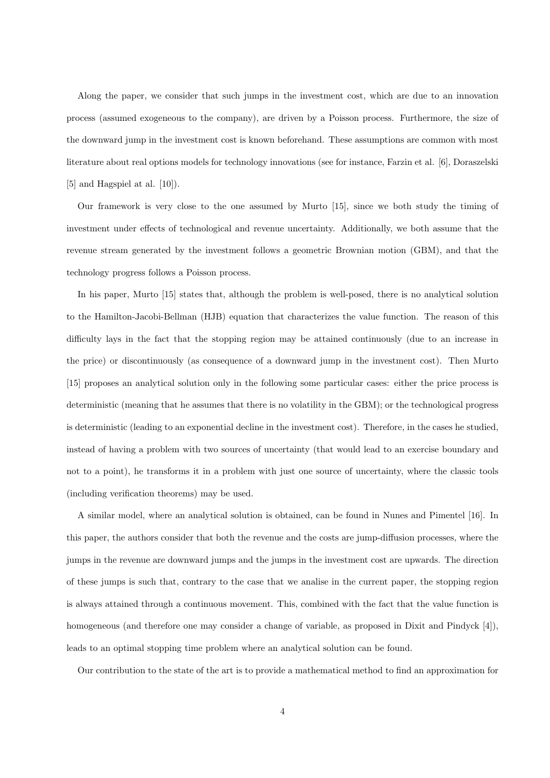Along the paper, we consider that such jumps in the investment cost, which are due to an innovation process (assumed exogeneous to the company), are driven by a Poisson process. Furthermore, the size of the downward jump in the investment cost is known beforehand. These assumptions are common with most literature about real options models for technology innovations (see for instance, Farzin et al. [6], Doraszelski [5] and Hagspiel at al. [10]).

Our framework is very close to the one assumed by Murto [15], since we both study the timing of investment under effects of technological and revenue uncertainty. Additionally, we both assume that the revenue stream generated by the investment follows a geometric Brownian motion (GBM), and that the technology progress follows a Poisson process.

In his paper, Murto [15] states that, although the problem is well-posed, there is no analytical solution to the Hamilton-Jacobi-Bellman (HJB) equation that characterizes the value function. The reason of this difficulty lays in the fact that the stopping region may be attained continuously (due to an increase in the price) or discontinuously (as consequence of a downward jump in the investment cost). Then Murto [15] proposes an analytical solution only in the following some particular cases: either the price process is deterministic (meaning that he assumes that there is no volatility in the GBM); or the technological progress is deterministic (leading to an exponential decline in the investment cost). Therefore, in the cases he studied, instead of having a problem with two sources of uncertainty (that would lead to an exercise boundary and not to a point), he transforms it in a problem with just one source of uncertainty, where the classic tools (including verification theorems) may be used.

A similar model, where an analytical solution is obtained, can be found in Nunes and Pimentel [16]. In this paper, the authors consider that both the revenue and the costs are jump-diffusion processes, where the jumps in the revenue are downward jumps and the jumps in the investment cost are upwards. The direction of these jumps is such that, contrary to the case that we analise in the current paper, the stopping region is always attained through a continuous movement. This, combined with the fact that the value function is homogeneous (and therefore one may consider a change of variable, as proposed in Dixit and Pindyck [4]), leads to an optimal stopping time problem where an analytical solution can be found.

Our contribution to the state of the art is to provide a mathematical method to find an approximation for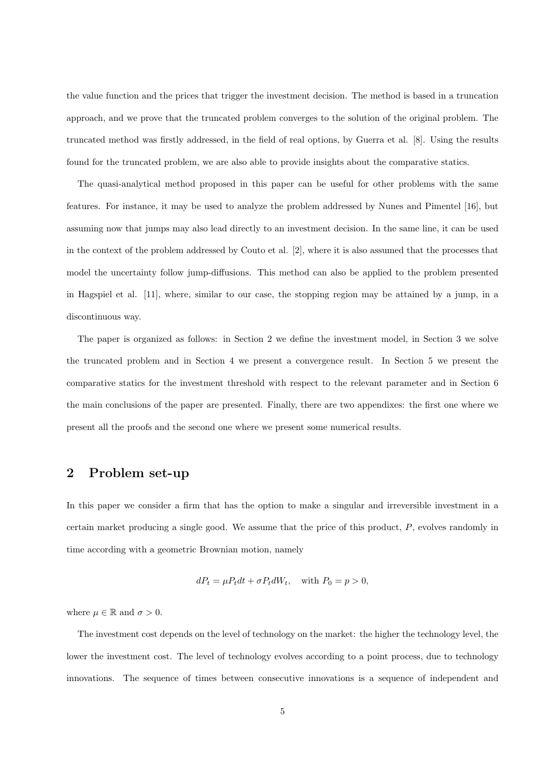the value function and the prices that trigger the investment decision. The method is based in a truncation approach, and we prove that the truncated problem converges to the solution of the original problem. The truncated method was firstly addressed, in the field of real options, by Guerra et al. [8]. Using the results found for the truncated problem, we are also able to provide insights about the comparative statics.

The quasi-analytical method proposed in this paper can be useful for other problems with the same features. For instance, it may be used to analyze the problem addressed by Nunes and Pimentel [16], but assuming now that jumps may also lead directly to an investment decision. In the same line, it can be used in the context of the problem addressed by Couto et al. [2], where it is also assumed that the processes that model the uncertainty follow jump-diffusions. This method can also be applied to the problem presented in Hagspiel et al. [11], where, similar to our case, the stopping region may be attained by a jump, in a discontinuous way.

The paper is organized as follows: in Section 2 we define the investment model, in Section 3 we solve the truncated problem and in Section 4 we present a convergence result. In Section 5 we present the comparative statics for the investment threshold with respect to the relevant parameter and in Section 6 the main conclusions of the paper are presented. Finally, there are two appendixes: the first one where we present all the proofs and the second one where we present some numerical results.

#### 2 Problem set-up

In this paper we consider a firm that has the option to make a singular and irreversible investment in a certain market producing a single good. We assume that the price of this product, P, evolves randomly in time according with a geometric Brownian motion, namely

$$
dP_t = \mu P_t dt + \sigma P_t dW_t, \quad \text{with } P_0 = p > 0,
$$

where  $\mu \in \mathbb{R}$  and  $\sigma > 0$ .

The investment cost depends on the level of technology on the market: the higher the technology level, the lower the investment cost. The level of technology evolves according to a point process, due to technology innovations. The sequence of times between consecutive innovations is a sequence of independent and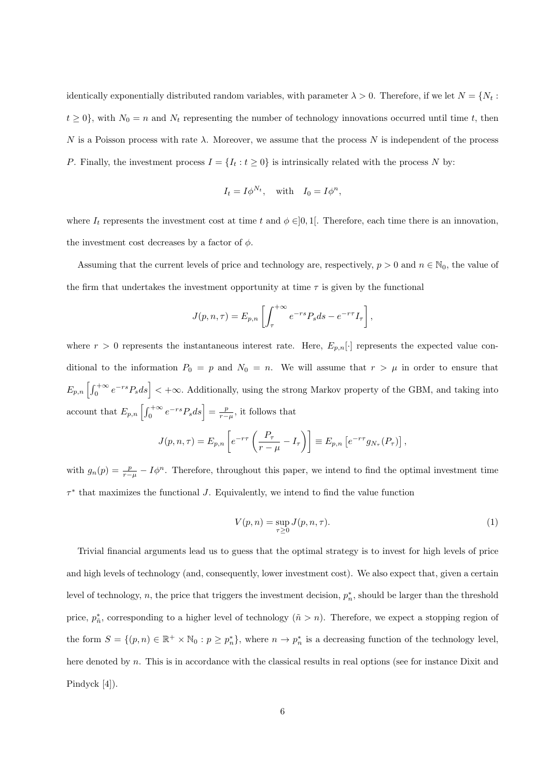identically exponentially distributed random variables, with parameter  $\lambda > 0$ . Therefore, if we let  $N = \{N_t :$  $t \geq 0$ , with  $N_0 = n$  and  $N_t$  representing the number of technology innovations occurred until time t, then N is a Poisson process with rate  $\lambda$ . Moreover, we assume that the process N is independent of the process P. Finally, the investment process  $I = \{I_t : t \geq 0\}$  is intrinsically related with the process N by:

$$
I_t = I\phi^{N_t}, \quad \text{with} \quad I_0 = I\phi^n,
$$

where  $I_t$  represents the investment cost at time t and  $\phi \in ]0,1[$ . Therefore, each time there is an innovation, the investment cost decreases by a factor of  $\phi$ .

Assuming that the current levels of price and technology are, respectively,  $p > 0$  and  $n \in \mathbb{N}_0$ , the value of the firm that undertakes the investment opportunity at time  $\tau$  is given by the functional

$$
J(p,n,\tau) = E_{p,n} \left[ \int_{\tau}^{+\infty} e^{-rs} P_s ds - e^{-r\tau} I_{\tau} \right],
$$

where  $r > 0$  represents the instantaneous interest rate. Here,  $E_{p,n}[\cdot]$  represents the expected value conditional to the information  $P_0 = p$  and  $N_0 = n$ . We will assume that  $r > \mu$  in order to ensure that  $E_{p,n}\left[\int_0^{+\infty}e^{-rs}P_sds\right]<+\infty$ . Additionally, using the strong Markov property of the GBM, and taking into account that  $E_{p,n}\left[\int_0^{+\infty}e^{-rs}P_sds\right]=\frac{p}{r-\mu}$ , it follows that

$$
J(p,n,\tau) = E_{p,n} \left[ e^{-r\tau} \left( \frac{P_{\tau}}{r-\mu} - I_{\tau} \right) \right] \equiv E_{p,n} \left[ e^{-r\tau} g_{N_{\tau}}(P_{\tau}) \right],
$$

with  $g_n(p) = \frac{p}{r-\mu} - I\phi^n$ . Therefore, throughout this paper, we intend to find the optimal investment time  $\tau^*$  that maximizes the functional J. Equivalently, we intend to find the value function

$$
V(p,n) = \sup_{\tau \ge 0} J(p,n,\tau). \tag{1}
$$

Trivial financial arguments lead us to guess that the optimal strategy is to invest for high levels of price and high levels of technology (and, consequently, lower investment cost). We also expect that, given a certain level of technology, n, the price that triggers the investment decision,  $p_n^*$ , should be larger than the threshold price,  $p_n^*$ , corresponding to a higher level of technology  $(\tilde{n} > n)$ . Therefore, we expect a stopping region of the form  $S = \{(p, n) \in \mathbb{R}^+ \times \mathbb{N}_0 : p \geq p_n^*\}$ , where  $n \to p_n^*$  is a decreasing function of the technology level, here denoted by n. This is in accordance with the classical results in real options (see for instance Dixit and Pindyck [4]).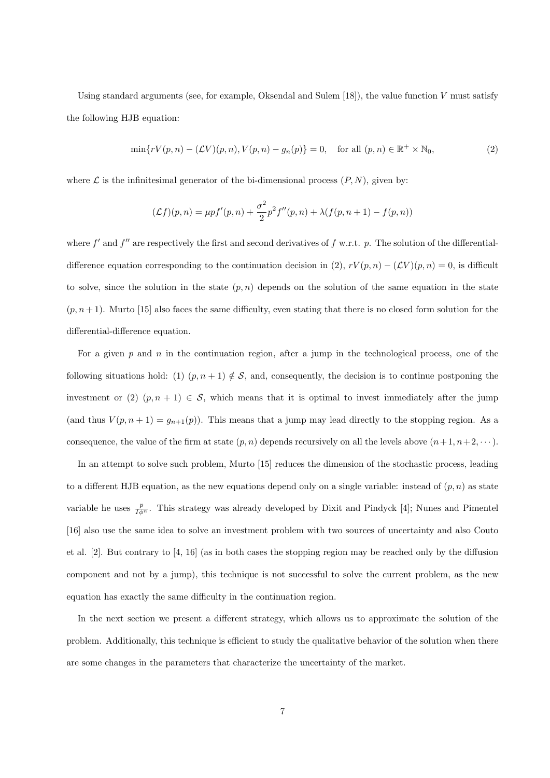Using standard arguments (see, for example, Oksendal and Sulem  $[18]$ ), the value function V must satisfy the following HJB equation:

$$
\min\{rV(p,n) - (\mathcal{L}V)(p,n), V(p,n) - g_n(p)\} = 0, \quad \text{for all } (p,n) \in \mathbb{R}^+ \times \mathbb{N}_0,
$$
\n
$$
(2)
$$

where  $\mathcal L$  is the infinitesimal generator of the bi-dimensional process  $(P, N)$ , given by:

$$
(\mathcal{L}f)(p,n) = \mu p f'(p,n) + \frac{\sigma^2}{2} p^2 f''(p,n) + \lambda (f(p,n+1) - f(p,n))
$$

where  $f'$  and  $f''$  are respectively the first and second derivatives of  $f$  w.r.t.  $p$ . The solution of the differentialdifference equation corresponding to the continuation decision in (2),  $rV(p, n) - (\mathcal{L}V)(p, n) = 0$ , is difficult to solve, since the solution in the state  $(p, n)$  depends on the solution of the same equation in the state  $(p, n+1)$ . Murto [15] also faces the same difficulty, even stating that there is no closed form solution for the differential-difference equation.

For a given  $p$  and  $n$  in the continuation region, after a jump in the technological process, one of the following situations hold: (1)  $(p, n + 1) \notin S$ , and, consequently, the decision is to continue postponing the investment or (2)  $(p, n + 1) \in S$ , which means that it is optimal to invest immediately after the jump (and thus  $V(p, n + 1) = g_{n+1}(p)$ ). This means that a jump may lead directly to the stopping region. As a consequence, the value of the firm at state  $(p, n)$  depends recursively on all the levels above  $(n + 1, n + 2, \dots)$ .

In an attempt to solve such problem, Murto [15] reduces the dimension of the stochastic process, leading to a different HJB equation, as the new equations depend only on a single variable: instead of  $(p, n)$  as state variable he uses  $\frac{p}{I\phi^n}$ . This strategy was already developed by Dixit and Pindyck [4]; Nunes and Pimentel [16] also use the same idea to solve an investment problem with two sources of uncertainty and also Couto et al. [2]. But contrary to [4, 16] (as in both cases the stopping region may be reached only by the diffusion component and not by a jump), this technique is not successful to solve the current problem, as the new equation has exactly the same difficulty in the continuation region.

In the next section we present a different strategy, which allows us to approximate the solution of the problem. Additionally, this technique is efficient to study the qualitative behavior of the solution when there are some changes in the parameters that characterize the uncertainty of the market.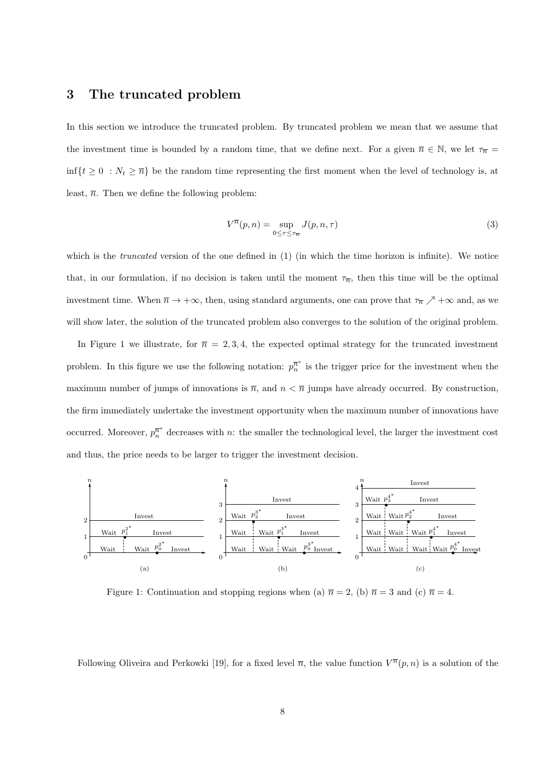### 3 The truncated problem

In this section we introduce the truncated problem. By truncated problem we mean that we assume that the investment time is bounded by a random time, that we define next. For a given  $\overline{n} \in \mathbb{N}$ , we let  $\tau_{\overline{n}} =$  $\inf\{t\geq 0 \ : N_t \geq \overline{n}\}\$ be the random time representing the first moment when the level of technology is, at least,  $\overline{n}$ . Then we define the following problem:

$$
V^{\overline{n}}(p,n) = \sup_{0 \le \tau \le \tau_{\overline{n}}} J(p,n,\tau)
$$
\n(3)

which is the *truncated* version of the one defined in (1) (in which the time horizon is infinite). We notice that, in our formulation, if no decision is taken until the moment  $\tau_{\overline{n}}$ , then this time will be the optimal investment time. When  $\overline{n} \to +\infty$ , then, using standard arguments, one can prove that  $\tau_{\overline{n}} \nearrow +\infty$  and, as we will show later, the solution of the truncated problem also converges to the solution of the original problem.

In Figure 1 we illustrate, for  $\bar{n} = 2, 3, 4$ , the expected optimal strategy for the truncated investment problem. In this figure we use the following notation:  $p_n^{\pi^*}$  is the trigger price for the investment when the maximum number of jumps of innovations is  $\overline{n}$ , and  $n < \overline{n}$  jumps have already occurred. By construction, the firm immediately undertake the investment opportunity when the maximum number of innovations have occurred. Moreover,  $p_n^{\overline{n}^*}$  decreases with n: the smaller the technological level, the larger the investment cost and thus, the price needs to be larger to trigger the investment decision.



Figure 1: Continuation and stopping regions when (a)  $\bar{n} = 2$ , (b)  $\bar{n} = 3$  and (c)  $\bar{n} = 4$ .

Following Oliveira and Perkowki [19], for a fixed level  $\overline{n}$ , the value function  $V^{\overline{n}}(p, n)$  is a solution of the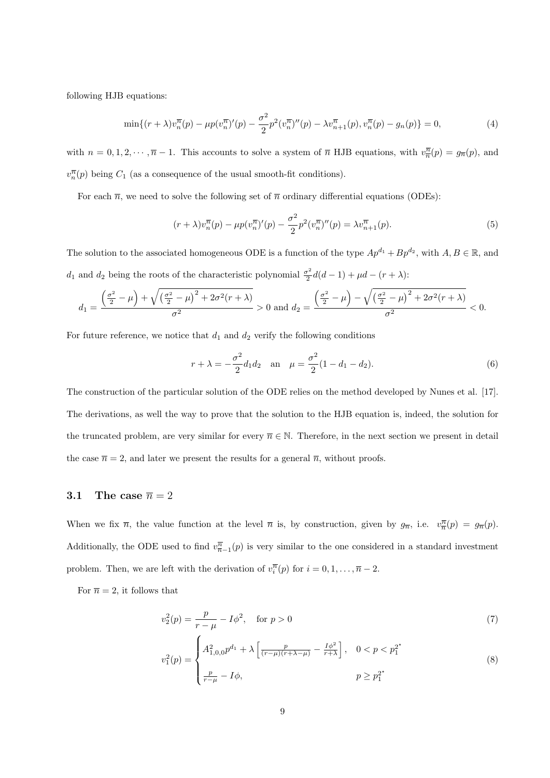following HJB equations:

$$
\min\{(r+\lambda)v_n^{\overline{n}}(p) - \mu p(v_n^{\overline{n}})'(p) - \frac{\sigma^2}{2}p^2(v_n^{\overline{n}})''(p) - \lambda v_{n+1}^{\overline{n}}(p), v_n^{\overline{n}}(p) - g_n(p)\} = 0,
$$
\n(4)

with  $n = 0, 1, 2, \dots, \overline{n} - 1$ . This accounts to solve a system of  $\overline{n}$  HJB equations, with  $v_{\overline{n}}^{\overline{n}}(p) = g_{\overline{n}}(p)$ , and  $v_n^{\overline{n}}(p)$  being  $C_1$  (as a consequence of the usual smooth-fit conditions).

For each  $\bar{n}$ , we need to solve the following set of  $\bar{n}$  ordinary differential equations (ODEs):

$$
(r + \lambda)v_n^{\overline{n}}(p) - \mu p(v_n^{\overline{n}})'(p) - \frac{\sigma^2}{2}p^2(v_n^{\overline{n}})''(p) = \lambda v_{n+1}^{\overline{n}}(p).
$$
 (5)

The solution to the associated homogeneous ODE is a function of the type  $Ap^{d_1} + Bp^{d_2}$ , with  $A, B \in \mathbb{R}$ , and  $d_1$  and  $d_2$  being the roots of the characteristic polynomial  $\frac{\sigma^2}{2}$  $\frac{\sigma^2}{2}d(d-1) + \mu d - (r + \lambda)$ :

$$
d_1 = \frac{\left(\frac{\sigma^2}{2} - \mu\right) + \sqrt{\left(\frac{\sigma^2}{2} - \mu\right)^2 + 2\sigma^2(r + \lambda)}}{\sigma^2} > 0 \text{ and } d_2 = \frac{\left(\frac{\sigma^2}{2} - \mu\right) - \sqrt{\left(\frac{\sigma^2}{2} - \mu\right)^2 + 2\sigma^2(r + \lambda)}}{\sigma^2} < 0.
$$

For future reference, we notice that  $d_1$  and  $d_2$  verify the following conditions

$$
r + \lambda = -\frac{\sigma^2}{2}d_1d_2
$$
 an  $\mu = \frac{\sigma^2}{2}(1 - d_1 - d_2).$  (6)

The construction of the particular solution of the ODE relies on the method developed by Nunes et al. [17]. The derivations, as well the way to prove that the solution to the HJB equation is, indeed, the solution for the truncated problem, are very similar for every  $\overline{n} \in \mathbb{N}$ . Therefore, in the next section we present in detail the case  $\bar{n} = 2$ , and later we present the results for a general  $\bar{n}$ , without proofs.

#### 3.1 The case  $\overline{n} = 2$

When we fix  $\bar{n}$ , the value function at the level  $\bar{n}$  is, by construction, given by  $g_{\bar{n}}$ , i.e.  $v_{\bar{n}}^{\bar{n}}(p) = g_{\bar{n}}(p)$ . Additionally, the ODE used to find  $v_{\overline{n}-1}^{\overline{n}}(p)$  is very similar to the one considered in a standard investment problem. Then, we are left with the derivation of  $v_i^{\overline{n}}(p)$  for  $i = 0, 1, \ldots, \overline{n} - 2$ .

For  $\bar{n} = 2$ , it follows that

$$
v_2^2(p) = \frac{p}{r - \mu} - I\phi^2, \quad \text{for } p > 0
$$
 (7)

$$
v_1^2(p) = \begin{cases} A_{1,0,0}^2 p^{d_1} + \lambda \left[ \frac{p}{(r-\mu)(r+\lambda-\mu)} - \frac{I\phi^2}{r+\lambda} \right], & 0 < p < p_1^{2^*} \\ \frac{p}{r-\mu} - I\phi, & p \ge p_1^{2^*} \end{cases}
$$
(8)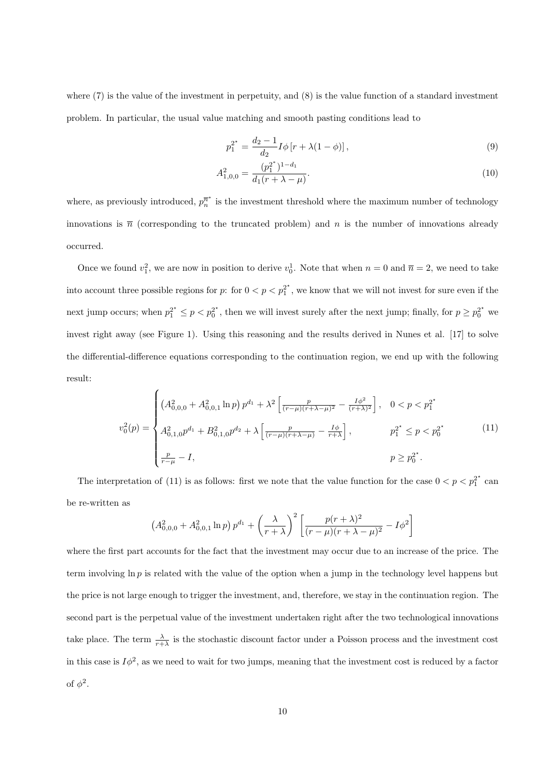where (7) is the value of the investment in perpetuity, and (8) is the value function of a standard investment problem. In particular, the usual value matching and smooth pasting conditions lead to

$$
p_1^{2^*} = \frac{d_2 - 1}{d_2} I \phi \left[ r + \lambda (1 - \phi) \right],\tag{9}
$$

$$
A_{1,0,0}^2 = \frac{(p_1^{2^*})^{1-d_1}}{d_1(r + \lambda - \mu)}.\tag{10}
$$

where, as previously introduced,  $p_n^{\bar{n}^*}$  is the investment threshold where the maximum number of technology innovations is  $\bar{n}$  (corresponding to the truncated problem) and n is the number of innovations already occurred.

Once we found  $v_1^2$ , we are now in position to derive  $v_0^1$ . Note that when  $n = 0$  and  $\overline{n} = 2$ , we need to take into account three possible regions for p: for  $0 < p < p_1^2$ , we know that we will not invest for sure even if the next jump occurs; when  $p_1^{2^*} \le p < p_0^{2^*}$ , then we will invest surely after the next jump; finally, for  $p \ge p_0^{2^*}$  we invest right away (see Figure 1). Using this reasoning and the results derived in Nunes et al. [17] to solve the differential-difference equations corresponding to the continuation region, we end up with the following result:

$$
v_0^2(p) = \begin{cases} \left(A_{0,0,0}^2 + A_{0,0,1}^2 \ln p\right) p^{d_1} + \lambda^2 \left[\frac{p}{(r-\mu)(r+\lambda-\mu)^2} - \frac{I\phi^2}{(r+\lambda)^2}\right], & 0 < p < p_1^{2^\star} \\ A_{0,1,0}^2 p^{d_1} + B_{0,1,0}^2 p^{d_2} + \lambda \left[\frac{p}{(r-\mu)(r+\lambda-\mu)} - \frac{I\phi}{r+\lambda}\right], & p_1^{2^\star} \le p < p_0^{2^\star} \\ \frac{p}{r-\mu} - I, & p \ge p_0^{2^\star}. \end{cases} \tag{11}
$$

The interpretation of (11) is as follows: first we note that the value function for the case  $0 < p < p_1^{2^*}$  can be re-written as

$$
(A_{0,0,0}^2 + A_{0,0,1}^2 \ln p) p^{d_1} + \left(\frac{\lambda}{r+\lambda}\right)^2 \left[ \frac{p(r+\lambda)^2}{(r-\mu)(r+\lambda-\mu)^2} - I\phi^2 \right]
$$

where the first part accounts for the fact that the investment may occur due to an increase of the price. The term involving  $\ln p$  is related with the value of the option when a jump in the technology level happens but the price is not large enough to trigger the investment, and, therefore, we stay in the continuation region. The second part is the perpetual value of the investment undertaken right after the two technological innovations take place. The term  $\frac{\lambda}{r+\lambda}$  is the stochastic discount factor under a Poisson process and the investment cost in this case is  $I\phi^2$ , as we need to wait for two jumps, meaning that the investment cost is reduced by a factor of  $\phi^2$ .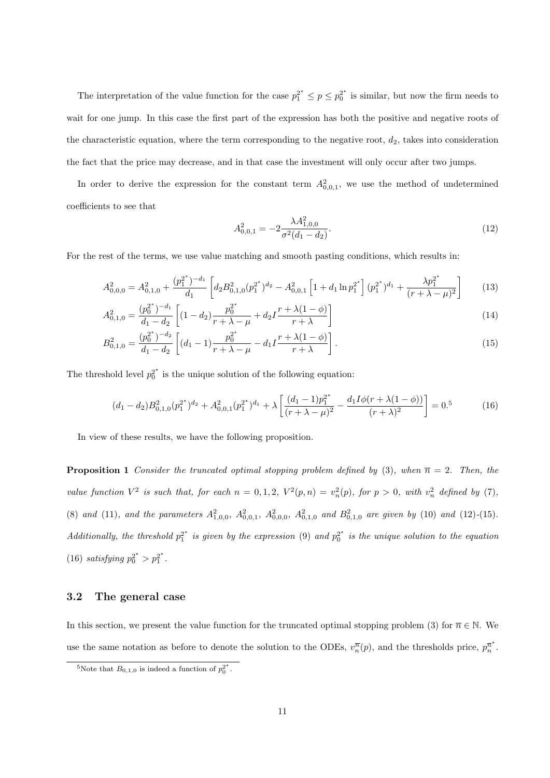The interpretation of the value function for the case  $p_1^{2^*} \le p \le p_0^{2^*}$  is similar, but now the firm needs to wait for one jump. In this case the first part of the expression has both the positive and negative roots of the characteristic equation, where the term corresponding to the negative root,  $d_2$ , takes into consideration the fact that the price may decrease, and in that case the investment will only occur after two jumps.

In order to derive the expression for the constant term  $A_{0,0,1}^2$ , we use the method of undetermined coefficients to see that

$$
A_{0,0,1}^2 = -2 \frac{\lambda A_{1,0,0}^2}{\sigma^2 (d_1 - d_2)}.
$$
\n(12)

For the rest of the terms, we use value matching and smooth pasting conditions, which results in:

$$
A_{0,0,0}^2 = A_{0,1,0}^2 + \frac{(p_1^{2^*})^{-d_1}}{d_1} \left[ d_2 B_{0,1,0}^2 (p_1^{2^*})^{d_2} - A_{0,0,1}^2 \left[ 1 + d_1 \ln p_1^{2^*} \right] (p_1^{2^*})^{d_1} + \frac{\lambda p_1^{2^*}}{(r + \lambda - \mu)^2} \right]
$$
(13)

$$
A_{0,1,0}^2 = \frac{(p_0^{2^*})^{-d_1}}{d_1 - d_2} \left[ (1 - d_2) \frac{p_0^{2^*}}{r + \lambda - \mu} + d_2 I \frac{r + \lambda(1 - \phi)}{r + \lambda} \right]
$$
\n
$$
(14)
$$

$$
B_{0,1,0}^2 = \frac{(p_0^{2^*})^{-d_2}}{d_1 - d_2} \left[ (d_1 - 1) \frac{p_0^{2^*}}{r + \lambda - \mu} - d_1 I \frac{r + \lambda(1 - \phi)}{r + \lambda} \right].
$$
\n(15)

The threshold level  $p_0^{2^*}$  is the unique solution of the following equation:

$$
(d_1 - d_2)B_{0,1,0}^2(p_1^{2^*})^{d_2} + A_{0,0,1}^2(p_1^{2^*})^{d_1} + \lambda \left[ \frac{(d_1 - 1)p_1^{2^*}}{(r + \lambda - \mu)^2} - \frac{d_1 I \phi(r + \lambda(1 - \phi))}{(r + \lambda)^2} \right] = 0.5
$$
 (16)

In view of these results, we have the following proposition.

**Proposition 1** Consider the truncated optimal stopping problem defined by (3), when  $\bar{n} = 2$ . Then, the value function  $V^2$  is such that, for each  $n = 0, 1, 2$ ,  $V^2(p, n) = v_n^2(p)$ , for  $p > 0$ , with  $v_n^2$  defined by (7), (8) and (11), and the parameters  $A_{1,0,0}^2$ ,  $A_{0,0,1}^2$ ,  $A_{0,0,0}^2$ ,  $A_{0,1,0}^2$  and  $B_{0,1,0}^2$  are given by (10) and (12)-(15). Additionally, the threshold  $p_1^{2^*}$  is given by the expression (9) and  $p_0^{2^*}$  is the unique solution to the equation (16) satisfying  $p_0^{2^*} > p_1^{2^*}$ .

#### 3.2 The general case

In this section, we present the value function for the truncated optimal stopping problem (3) for  $\bar{n} \in \mathbb{N}$ . We use the same notation as before to denote the solution to the ODEs,  $v_n^{\overline{n}}(p)$ , and the thresholds price,  $p_n^{\overline{n}^*}$ .

<sup>&</sup>lt;sup>5</sup>Note that  $B_{0,1,0}$  is indeed a function of  $p_0^{2^*}$ .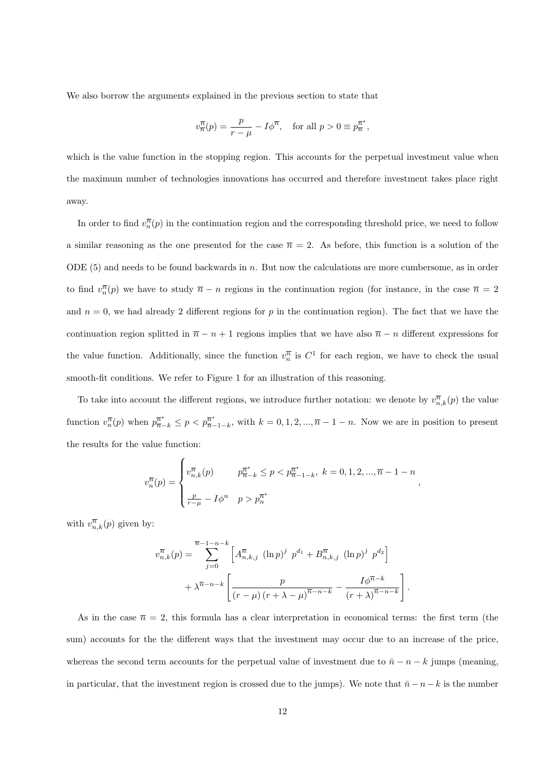We also borrow the arguments explained in the previous section to state that

$$
v_{\overline{n}}^{\overline{n}}(p) = \frac{p}{r - \mu} - I\phi^{\overline{n}}, \quad \text{for all } p > 0 \equiv p_{\overline{n}}^{\overline{n}^*},
$$

which is the value function in the stopping region. This accounts for the perpetual investment value when the maximum number of technologies innovations has occurred and therefore investment takes place right away.

In order to find  $v_n^{\overline{n}}(p)$  in the continuation region and the corresponding threshold price, we need to follow a similar reasoning as the one presented for the case  $\bar{n} = 2$ . As before, this function is a solution of the ODE  $(5)$  and needs to be found backwards in n. But now the calculations are more cumbersome, as in order to find  $v_n^{\overline{n}}(p)$  we have to study  $\overline{n} - n$  regions in the continuation region (for instance, in the case  $\overline{n} = 2$ and  $n = 0$ , we had already 2 different regions for p in the continuation region). The fact that we have the continuation region splitted in  $\bar{n} - n + 1$  regions implies that we have also  $\bar{n} - n$  different expressions for the value function. Additionally, since the function  $v_n^{\overline{n}}$  is  $C^1$  for each region, we have to check the usual smooth-fit conditions. We refer to Figure 1 for an illustration of this reasoning.

To take into account the different regions, we introduce further notation: we denote by  $v_{n,k}^{\overline{n}}(p)$  the value function  $v_n^{\overline{n}}(p)$  when  $p_{\overline{n}-k}^{\overline{n}^*} \leq p < p_{\overline{n}-1-k}^{\overline{n}^*}$ , with  $k = 0, 1, 2, ..., \overline{n}-1-n$ . Now we are in position to present the results for the value function:

$$
v_n^{\overline{n}}(p) = \begin{cases} v_{n,k}^{\overline{n}}(p) & p_{n-k}^{\overline{n}^*} \le p < p_{n-1-k}^{\overline{n}^*}, \ k = 0, 1, 2, ..., \overline{n} - 1 - n \\ \frac{p}{r - \mu} - I \phi^n & p > p_n^{\overline{n}^*} \end{cases},
$$

with  $v_{n,k}^{\overline{n}}(p)$  given by:

$$
v_{n,k}^{\overline{n}}(p) = \sum_{j=0}^{\overline{n}-1-n-k} \left[ A_{n,k,j}^{\overline{n}} (\ln p)^j p^{d_1} + B_{n,k,j}^{\overline{n}} (\ln p)^j p^{d_2} \right] + \lambda^{\overline{n}-n-k} \left[ \frac{p}{(r-\mu)(r+\lambda-\mu)^{\overline{n}-n-k}} - \frac{I\phi^{\overline{n}-k}}{(r+\lambda)^{\overline{n}-n-k}} \right]
$$

.

As in the case  $\bar{n} = 2$ , this formula has a clear interpretation in economical terms: the first term (the sum) accounts for the the different ways that the investment may occur due to an increase of the price, whereas the second term accounts for the perpetual value of investment due to  $\bar{n} - n - k$  jumps (meaning, in particular, that the investment region is crossed due to the jumps). We note that  $\bar{n} - n - k$  is the number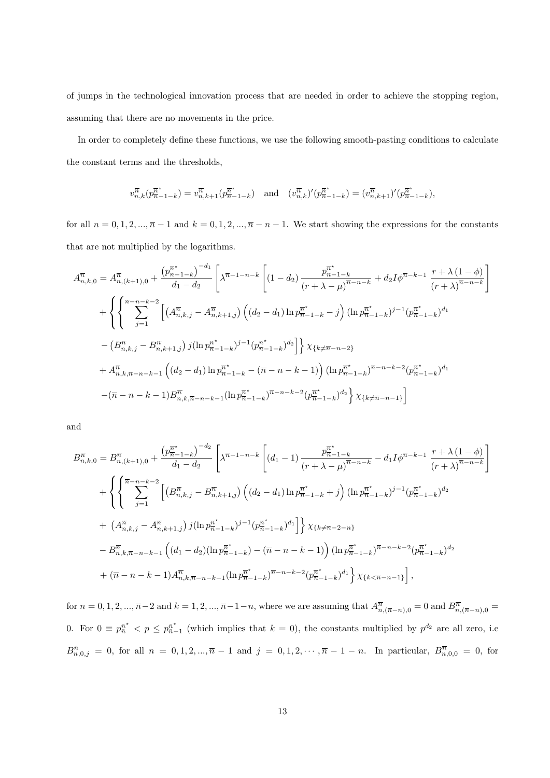of jumps in the technological innovation process that are needed in order to achieve the stopping region, assuming that there are no movements in the price.

In order to completely define these functions, we use the following smooth-pasting conditions to calculate the constant terms and the thresholds,

$$
v_{n,k}^{\overline{n}}(p_{\overline{n}-1-k}^{\overline{n}^*}) = v_{n,k+1}^{\overline{n}}(p_{\overline{n}-1-k}^{\overline{n}^*}) \text{ and } (v_{n,k}^{\overline{n}})'(p_{\overline{n}-1-k}^{\overline{n}^*}) = (v_{n,k+1}^{\overline{n}})'(p_{\overline{n}-1-k}^{\overline{n}^*}),
$$

for all  $n = 0, 1, 2, ..., \overline{n} - 1$  and  $k = 0, 1, 2, ..., \overline{n} - n - 1$ . We start showing the expressions for the constants that are not multiplied by the logarithms.

$$
A_{n,k,0}^{\overline{n}} = A_{n,(k+1),0}^{\overline{n}} + \frac{\left(p_{n-1-k}^{\overline{n}^*}\right)^{-d_1}}{d_1 - d_2} \left[ \lambda^{\overline{n}-1-n-k} \left[ (1-d_2) \frac{p_{n-1-k}^{\overline{n}^*}}{(r+\lambda-\mu)^{\overline{n}-n-k}} + d_2 I \phi^{\overline{n}-k-1} \frac{r+\lambda(1-\phi)}{(r+\lambda)^{\overline{n}-n-k}} \right] \right]
$$
  
+ 
$$
\left\{ \left\{ \sum_{j=1}^{\overline{n}-n-k-2} \left[ \left(A_{n,k,j}^{\overline{n}} - A_{n,k+1,j}^{\overline{n}}\right) \left( (d_2 - d_1) \ln p_{\overline{n}-1-k}^{\overline{n}^*} - j \right) (\ln p_{n-1-k}^{\overline{n}^*})^{j-1} (p_{\overline{n}-1-k}^{\overline{n}^*})^{d_1} \right. \right]
$$

$$
- \left(B_{n,k,j}^{\overline{n}} - B_{n,k+1,j}^{\overline{n}}\right) j (\ln p_{\overline{n}-1-k}^{\overline{n}^*})^{j-1} (p_{\overline{n}-1-k}^{\overline{n}^*})^{d_2} \right] \right\} \chi_{\{k \neq \overline{n}-n-2\}}
$$

$$
+ A_{n,k,\overline{n}-n-k-1}^{\overline{n}} \left( (d_2 - d_1) \ln p_{n-1-k}^{\overline{n}^*} - (\overline{n}-n-k-1) \right) (\ln p_{n-1-k}^{\overline{n}^*})^{\overline{n}-n-k-2} (p_{n-1-k}^{\overline{n}^*})^{d_1}
$$

$$
- (\overline{n}-n-k-1) B_{n,k,\overline{n}-n-k-1}^{\overline{n}} (\ln p_{\overline{n}-1-k}^{\overline{n}^*})^{\overline{n}-n-k-2} (p_{\overline{n}-1-k}^{\overline{n}^*})^{d_2} \right\} \chi_{\{k \neq \overline{n}-n-1\}}]
$$

and

$$
B_{n,k,0}^{\overline{n}} = B_{n,(k+1),0}^{\overline{n}} + \frac{\left(p_{n-1-k}^{\overline{n}^*}\right)^{-d_2}}{d_1 - d_2} \left[ \lambda^{\overline{n}-1-n-k} \left[ (d_1 - 1) \frac{p_{n-1-k}^{\overline{n}^*}}{(r+\lambda-\mu)^{\overline{n}-n-k}} - d_1 I \phi^{\overline{n}-k-1} \frac{r+\lambda(1-\phi)}{(r+\lambda)^{\overline{n}-n-k}} \right] \right]
$$
  
+ 
$$
\left\{ \left\{ \sum_{j=1}^{\overline{n}-n-k-2} \left[ \left(B_{n,k,j}^{\overline{n}} - B_{n,k+1,j}^{\overline{n}}\right) \left( (d_2 - d_1) \ln p_{n-1-k}^{\overline{n}^*} + j \right) (\ln p_{n-1-k}^{\overline{n}^*})^{j-1} (p_{n-1-k}^{\overline{n}^*})^{d_2} \right] \right\} \right\}
$$
  
+ 
$$
\left(A_{n,k,j}^{\overline{n}} - A_{n,k+1,j}^{\overline{n}}\right) j(\ln p_{n-1-k}^{\overline{n}^*})^{j-1} (p_{n-1-k}^{\overline{n}^*})^{d_1} \right] \left\} \chi_{\{k \neq \overline{n}-2-n\}} \right]
$$
  
- 
$$
B_{n,k,\overline{n}-n-k-1}^{\overline{n}} \left( (d_1 - d_2)(\ln p_{n-1-k}^{\overline{n}^*}) - (\overline{n} - n - k - 1) \right) (\ln p_{n-1-k}^{\overline{n}^*})^{\overline{n}-n-k-2} (p_{n-1-k}^{\overline{n}^*})^{d_2}
$$
  
+ 
$$
(\overline{n} - n - k - 1) A_{n,k,\overline{n}-n-k-1}^{\overline{n}} (\ln p_{n-1-k}^{\overline{n}^*})^{\overline{n}-n-k-2} (p_{n-1-k}^{\overline{n}^*})^{d_1} \right\} \chi_{\{k \leq \overline{n}-n-1\}} \right],
$$

for  $n = 0, 1, 2, ..., \overline{n-2}$  and  $k = 1, 2, ..., \overline{n-1-n}$ , where we are assuming that  $A^{\overline{n}}_{n,(\overline{n}-n),0} = 0$  and  $B^{\overline{n}}_{n,(\overline{n}-n),0} = 0$ 0. For  $0 \equiv p_{\bar{n}}^{\bar{n}^*} < p \leq p_{\bar{n}-1}^{\bar{n}^*}$  (which implies that  $k = 0$ ), the constants multiplied by  $p^{d_2}$  are all zero, i.e.  $B_{n,0,j}^{\bar{n}} = 0$ , for all  $n = 0,1,2,...,\bar{n}-1$  and  $j = 0,1,2,...,\bar{n}-1-n$ . In particular,  $B_{n,0,0}^{\bar{n}} = 0$ , for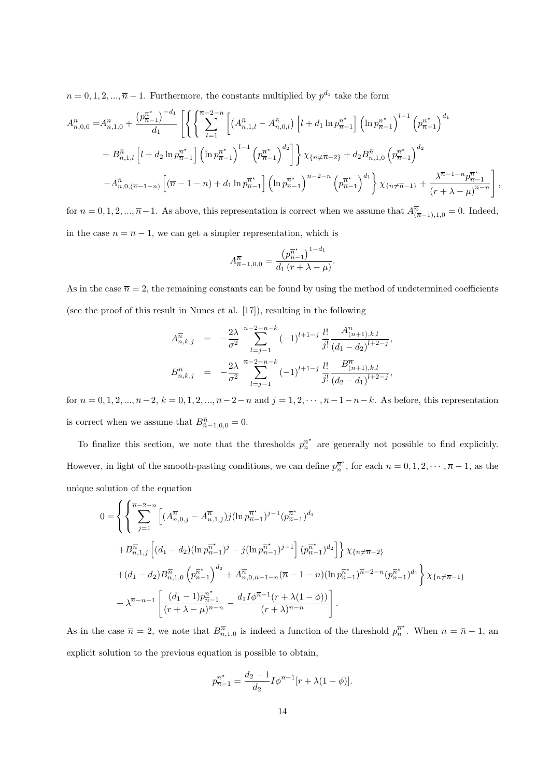$n = 0, 1, 2, \dots, \overline{n} - 1$ . Furthermore, the constants multiplied by  $p^{d_1}$  take the form

$$
A_{n,0,0}^{\overline{n}} = A_{n,1,0}^{\overline{n}} + \frac{\left(p_{\overline{n}-1}^{\overline{n}^*}\right)^{-d_1}}{d_1} \left[ \left\{ \left\{ \sum_{l=1}^{\overline{n}-2-n} \left[ \left(A_{n,1,l}^{\overline{n}} - A_{n,0,l}^{\overline{n}}\right) \left[ l+d_1 \ln p_{\overline{n}-1}^{\overline{n}^*} \right] \left(\ln p_{\overline{n}-1}^{\overline{n}^*}\right)^{l-1} \left( p_{\overline{n}-1}^{\overline{n}^*} \right)^{d_1} \right. \right] \right]
$$
  
+ 
$$
B_{n,1,l}^{\overline{n}} \left[ l+d_2 \ln p_{\overline{n}-1}^{\overline{n}^*} \right] \left( \ln p_{\overline{n}-1}^{\overline{n}^*}\right)^{l-1} \left( p_{\overline{n}-1}^{\overline{n}^*} \right)^{d_2} \right] \right\} \chi_{\{n \neq \overline{n}-2\}} + d_2 B_{n,1,0}^{\overline{n}} \left( p_{\overline{n}-1}^{\overline{n}^*} \right)^{d_2}
$$
  
- 
$$
A_{n,0,(\overline{n}-1-n)}^{\overline{n}} \left[ \left( \overline{n}-1-n \right) + d_1 \ln p_{\overline{n}-1}^{\overline{n}^*} \right] \left( \ln p_{\overline{n}-1}^{\overline{n}^*} \right)^{\overline{n}-2-n} \left( p_{\overline{n}-1}^{\overline{n}^*} \right)^{d_1} \right\} \chi_{\{n \neq \overline{n}-1\}} + \frac{\lambda^{\overline{n}-1-n} p_{\overline{n}-1}^{\overline{n}^*}}{\left( r+\lambda-\mu \right)^{\overline{n}-n}} \right],
$$

for  $n = 0, 1, 2, ..., \overline{n-1}$ . As above, this representation is correct when we assume that  $A^{\overline{n}}_{(\overline{n}-1),1,0} = 0$ . Indeed, in the case  $n = \overline{n} - 1$ , we can get a simpler representation, which is

$$
A^{\overline{n}}_{\overline{n}-1,0,0} = \frac{\left(p^{\overline{n}^*}_{\overline{n}-1}\right)^{1-d_1}}{d_1\left(r+\lambda-\mu\right)}.
$$

As in the case  $\bar{n} = 2$ , the remaining constants can be found by using the method of undetermined coefficients (see the proof of this result in Nunes et al. [17]), resulting in the following

$$
A_{n,k,j}^{\overline{n}} = -\frac{2\lambda}{\sigma^2} \sum_{l=j-1}^{\overline{n}-2-n-k} (-1)^{l+1-j} \frac{l!}{j!} \frac{A_{(n+1),k,l}^{\overline{n}}}{(d_1-d_2)^{l+2-j}},
$$
  

$$
B_{n,k,j}^{\overline{n}} = -\frac{2\lambda}{\sigma^2} \sum_{l=j-1}^{\overline{n}-2-n-k} (-1)^{l+1-j} \frac{l!}{j!} \frac{B_{(n+1),k,l}^{\overline{n}}}{(d_2-d_1)^{l+2-j}},
$$

for  $n = 0, 1, 2, ..., \overline{n}-2$ ,  $k = 0, 1, 2, ..., \overline{n}-2-n$  and  $j = 1, 2, ..., \overline{n}-1-n-k$ . As before, this representation is correct when we assume that  $B_{\bar{n}-1,0,0}^{\bar{n}} = 0$ .

To finalize this section, we note that the thresholds  $p_n^{\pi^*}$  are generally not possible to find explicitly. However, in light of the smooth-pasting conditions, we can define  $p_n^{\bar{n}^*}$ , for each  $n = 0, 1, 2, \dots, \bar{n} - 1$ , as the unique solution of the equation

$$
0 = \left\{ \left\{ \sum_{j=1}^{\overline{n}-2-n} \left[ (A_{n,0,j}^{\overline{n}} - A_{n,1,j}^{\overline{n}}) j (\ln p_{\overline{n}-1}^{\overline{n}^*})^{j-1} (p_{\overline{n}-1}^{\overline{n}^*})^{d_1} \right. \right.\left. + B_{n,1,j}^{\overline{n}} \left[ (d_1 - d_2) (\ln p_{\overline{n}-1}^{\overline{n}^*})^j - j (\ln p_{\overline{n}-1}^{\overline{n}^*})^{j-1} \right] (p_{\overline{n}-1}^{\overline{n}^*})^{d_2} \right] \right\} \chi_{\{n \neq \overline{n}-2\}} + (d_1 - d_2) B_{n,1,0}^{\overline{n}} \left( p_{\overline{n}-1}^{\overline{n}^*} \right)^{d_2} + A_{n,0,\overline{n}-1-n}^{\overline{n}} (\overline{n}-1-n) (\ln p_{\overline{n}-1}^{\overline{n}^*})^{\overline{n}-2-n} (p_{\overline{n}-1}^{\overline{n}^*})^{d_1} \right\} \chi_{\{n \neq \overline{n}-1\}} + \lambda^{\overline{n}-n-1} \left[ \frac{(d_1 - 1)p_{\overline{n}-1}^{\overline{n}^*}}{(r + \lambda - \mu)^{\overline{n}-n}} - \frac{d_1 I \phi^{\overline{n}-1} (r + \lambda(1 - \phi))}{(r + \lambda)^{\overline{n}-n}} \right].
$$

As in the case  $\bar{n} = 2$ , we note that  $B_{n,1,0}^{\bar{n}}$  is indeed a function of the threshold  $p_n^{\bar{n}^*}$ . When  $n = \bar{n} - 1$ , and explicit solution to the previous equation is possible to obtain,

$$
p_{\overline{n}-1}^{\overline{n}^*} = \frac{d_2 - 1}{d_2} I \phi^{\overline{n}-1} [r + \lambda (1 - \phi)].
$$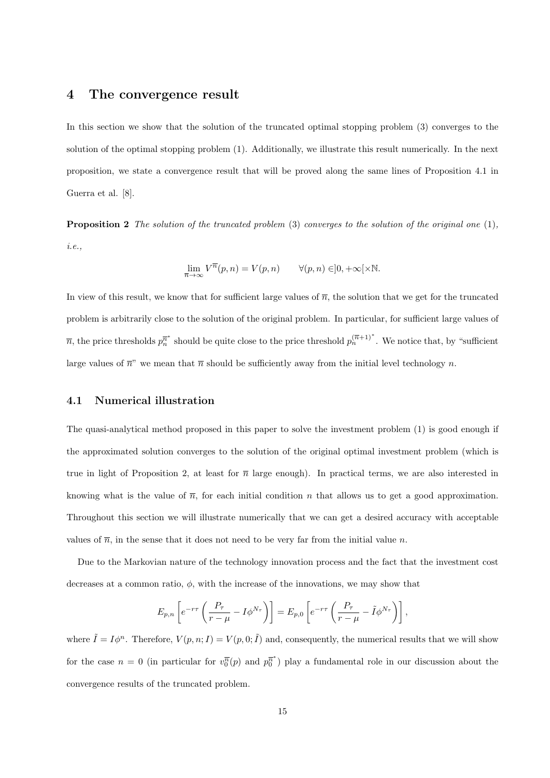### 4 The convergence result

In this section we show that the solution of the truncated optimal stopping problem (3) converges to the solution of the optimal stopping problem (1). Additionally, we illustrate this result numerically. In the next proposition, we state a convergence result that will be proved along the same lines of Proposition 4.1 in Guerra et al. [8].

**Proposition 2** The solution of the truncated problem  $(3)$  converges to the solution of the original one  $(1)$ , i.e.,

$$
\lim_{\overline{n}\to\infty} V^{\overline{n}}(p,n) = V(p,n) \qquad \forall (p,n) \in ]0,+\infty[\times \mathbb{N}.
$$

In view of this result, we know that for sufficient large values of  $\bar{n}$ , the solution that we get for the truncated problem is arbitrarily close to the solution of the original problem. In particular, for sufficient large values of  $\overline{n}$ , the price thresholds  $p_n^{\overline{n}^*}$  should be quite close to the price threshold  $p_n^{(\overline{n}+1)^*}$ . We notice that, by "sufficient" large values of  $\bar{n}$ " we mean that  $\bar{n}$  should be sufficiently away from the initial level technology n.

#### 4.1 Numerical illustration

The quasi-analytical method proposed in this paper to solve the investment problem (1) is good enough if the approximated solution converges to the solution of the original optimal investment problem (which is true in light of Proposition 2, at least for  $\bar{n}$  large enough). In practical terms, we are also interested in knowing what is the value of  $\overline{n}$ , for each initial condition n that allows us to get a good approximation. Throughout this section we will illustrate numerically that we can get a desired accuracy with acceptable values of  $\bar{n}$ , in the sense that it does not need to be very far from the initial value n.

Due to the Markovian nature of the technology innovation process and the fact that the investment cost decreases at a common ratio,  $\phi$ , with the increase of the innovations, we may show that

$$
E_{p,n}\left[e^{-r\tau}\left(\frac{P_{\tau}}{r-\mu}-I\phi^{N_{\tau}}\right)\right]=E_{p,0}\left[e^{-r\tau}\left(\frac{P_{\tau}}{r-\mu}-\tilde{I}\phi^{N_{\tau}}\right)\right],
$$

where  $\tilde{I} = I\phi^n$ . Therefore,  $V(p, n; I) = V(p, 0; \tilde{I})$  and, consequently, the numerical results that we will show for the case  $n = 0$  (in particular for  $v_0^{\overline{n}}(p)$  and  $p_0^{\overline{n}^*}$ ) play a fundamental role in our discussion about the convergence results of the truncated problem.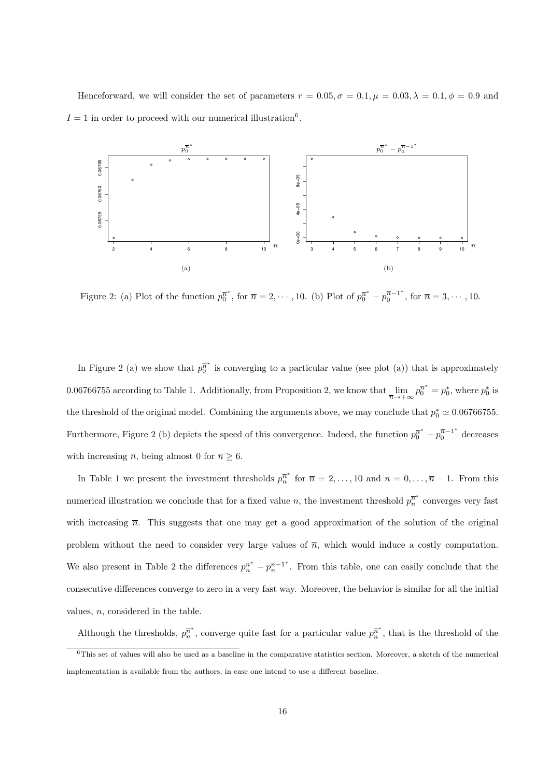Henceforward, we will consider the set of parameters  $r = 0.05, \sigma = 0.1, \mu = 0.03, \lambda = 0.1, \phi = 0.9$  and  $I = 1$  in order to proceed with our numerical illustration<sup>6</sup>.



Figure 2: (a) Plot of the function  $p_0^{\overline{n}^*}$ , for  $\overline{n} = 2, \dots, 10$ . (b) Plot of  $p_0^{\overline{n}^*} - p_0^{\overline{n}-1^*}$  $n_0^{n-1}$ , for  $\overline{n} = 3, \cdots, 10$ .

In Figure 2 (a) we show that  $p_0^{\overline{n}^*}$  is converging to a particular value (see plot (a)) that is approximately 0.06766755 according to Table 1. Additionally, from Proposition 2, we know that  $\lim_{\overline{n}\to+\infty}p_0^{\overline{n}^*}=p_0^*$ , where  $p_0^*$  is the threshold of the original model. Combining the arguments above, we may conclude that  $p_0^* \simeq 0.06766755$ . Furthermore, Figure 2 (b) depicts the speed of this convergence. Indeed, the function  $p_0^{\overline{n}^*} - p_0^{\overline{n}-1^*}$  decreases with increasing  $\bar{n}$ , being almost 0 for  $\bar{n} \geq 6$ .

In Table 1 we present the investment thresholds  $p_n^{\overline{n}^*}$  for  $\overline{n} = 2, \ldots, 10$  and  $n = 0, \ldots, \overline{n} - 1$ . From this numerical illustration we conclude that for a fixed value n, the investment threshold  $p_n^{\overline{n}^*}$  converges very fast with increasing  $\bar{n}$ . This suggests that one may get a good approximation of the solution of the original problem without the need to consider very large values of  $\bar{n}$ , which would induce a costly computation. We also present in Table 2 the differences  $p_n^{\overline{n}^*} - p_n^{\overline{n}-1^*}$ . From this table, one can easily conclude that the consecutive differences converge to zero in a very fast way. Moreover, the behavior is similar for all the initial values,  $n$ , considered in the table.

Although the thresholds,  $p_n^{\overline{n}^*}$ , converge quite fast for a particular value  $p_n^{\overline{n}^*}$ , that is the threshold of the

 $6$ This set of values will also be used as a baseline in the comparative statistics section. Moreover, a sketch of the numerical implementation is available from the authors, in case one intend to use a different baseline.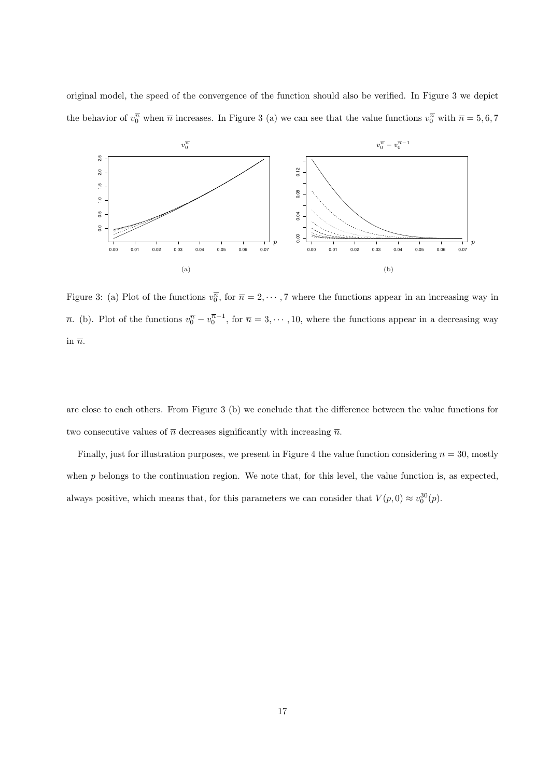original model, the speed of the convergence of the function should also be verified. In Figure 3 we depict the behavior of  $v_0^{\overline{n}}$  when  $\overline{n}$  increases. In Figure 3 (a) we can see that the value functions  $v_0^{\overline{n}}$  with  $\overline{n} = 5, 6, 7$ 



Figure 3: (a) Plot of the functions  $v_0^{\overline{n}}$ , for  $\overline{n} = 2, \dots, 7$  where the functions appear in an increasing way in  $\overline{n}$ . (b). Plot of the functions  $v_0^{\overline{n}} - v_0^{\overline{n}-1}$ , for  $\overline{n} = 3, \dots, 10$ , where the functions appear in a decreasing way in  $\overline{n}$ .

are close to each others. From Figure 3 (b) we conclude that the difference between the value functions for two consecutive values of  $\bar{n}$  decreases significantly with increasing  $\bar{n}$ .

Finally, just for illustration purposes, we present in Figure 4 the value function considering  $\bar{n} = 30$ , mostly when p belongs to the continuation region. We note that, for this level, the value function is, as expected, always positive, which means that, for this parameters we can consider that  $V(p,0) \approx v_0^{30}(p)$ .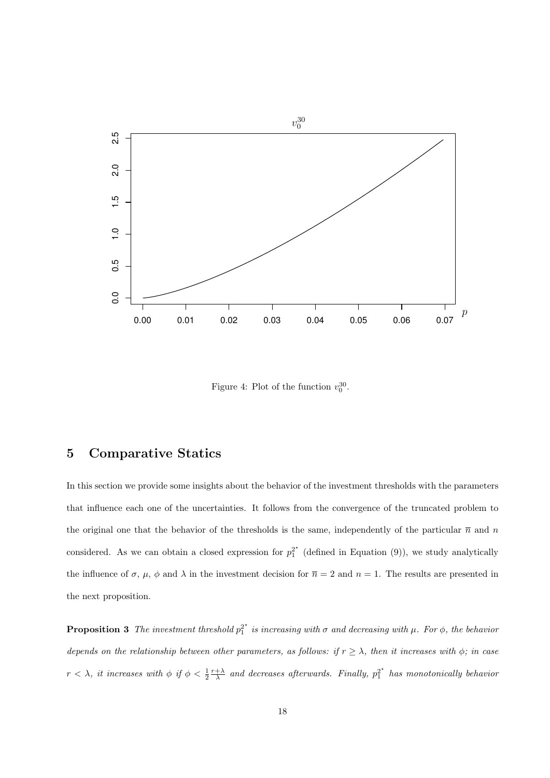

Figure 4: Plot of the function  $v_0^{30}$ .

### 5 Comparative Statics

In this section we provide some insights about the behavior of the investment thresholds with the parameters that influence each one of the uncertainties. It follows from the convergence of the truncated problem to the original one that the behavior of the thresholds is the same, independently of the particular  $\bar{n}$  and n considered. As we can obtain a closed expression for  $p_1^{2^*}$  (defined in Equation (9)), we study analytically the influence of  $\sigma$ ,  $\mu$ ,  $\phi$  and  $\lambda$  in the investment decision for  $\overline{n} = 2$  and  $n = 1$ . The results are presented in the next proposition.

**Proposition 3** The investment threshold  $p_1^{2^*}$  is increasing with  $\sigma$  and decreasing with  $\mu$ . For  $\phi$ , the behavior depends on the relationship between other parameters, as follows: if  $r \geq \lambda$ , then it increases with  $\phi$ ; in case  $r < \lambda$ , it increases with  $\phi$  if  $\phi < \frac{1}{2} \frac{r+\lambda}{\lambda}$  and decreases afterwards. Finally,  $p_1^{2^*}$  has monotonically behavior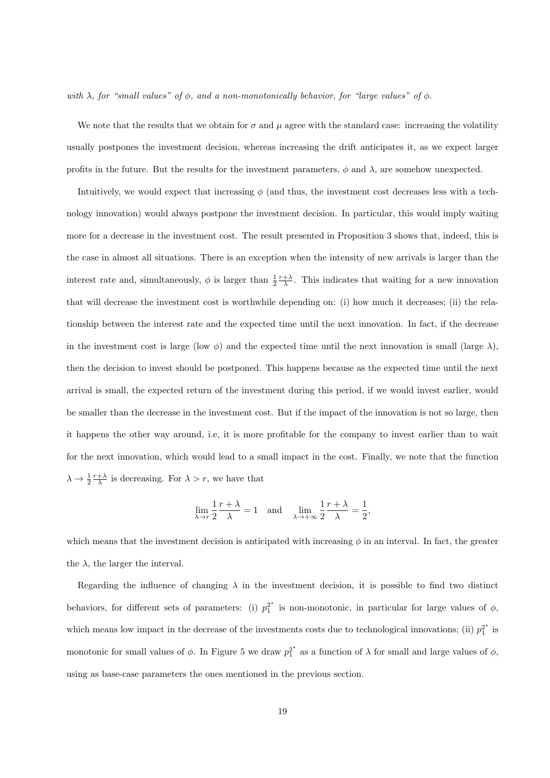with  $\lambda$ , for "small values" of  $\phi$ , and a non-monotonically behavior, for "large values" of  $\phi$ .

We note that the results that we obtain for  $\sigma$  and  $\mu$  agree with the standard case: increasing the volatility usually postpones the investment decision, whereas increasing the drift anticipates it, as we expect larger profits in the future. But the results for the investment parameters,  $\phi$  and  $\lambda$ , are somehow unexpected.

Intuitively, we would expect that increasing  $\phi$  (and thus, the investment cost decreases less with a technology innovation) would always postpone the investment decision. In particular, this would imply waiting more for a decrease in the investment cost. The result presented in Proposition 3 shows that, indeed, this is the case in almost all situations. There is an exception when the intensity of new arrivals is larger than the interest rate and, simultaneously,  $\phi$  is larger than  $\frac{1}{2} \frac{r+\lambda}{\lambda}$ . This indicates that waiting for a new innovation that will decrease the investment cost is worthwhile depending on: (i) how much it decreases; (ii) the relationship between the interest rate and the expected time until the next innovation. In fact, if the decrease in the investment cost is large (low  $\phi$ ) and the expected time until the next innovation is small (large  $\lambda$ ), then the decision to invest should be postponed. This happens because as the expected time until the next arrival is small, the expected return of the investment during this period, if we would invest earlier, would be smaller than the decrease in the investment cost. But if the impact of the innovation is not so large, then it happens the other way around, i.e, it is more profitable for the company to invest earlier than to wait for the next innovation, which would lead to a small impact in the cost. Finally, we note that the function  $\lambda \to \frac{1}{2} \frac{r+\lambda}{\lambda}$  is decreasing. For  $\lambda > r$ , we have that

$$
\lim_{\lambda \to r} \frac{1}{2} \frac{r + \lambda}{\lambda} = 1 \quad \text{and} \quad \lim_{\lambda \to +\infty} \frac{1}{2} \frac{r + \lambda}{\lambda} = \frac{1}{2},
$$

which means that the investment decision is anticipated with increasing  $\phi$  in an interval. In fact, the greater the  $\lambda$ , the larger the interval.

Regarding the influence of changing  $\lambda$  in the investment decision, it is possible to find two distinct behaviors, for different sets of parameters: (i)  $p_1^{2^*}$  is non-monotonic, in particular for large values of  $\phi$ , which means low impact in the decrease of the investments costs due to technological innovations; (ii)  $p_1^{2^*}$  is monotonic for small values of  $\phi$ . In Figure 5 we draw  $p_1^{2^*}$  as a function of  $\lambda$  for small and large values of  $\phi$ , using as base-case parameters the ones mentioned in the previous section.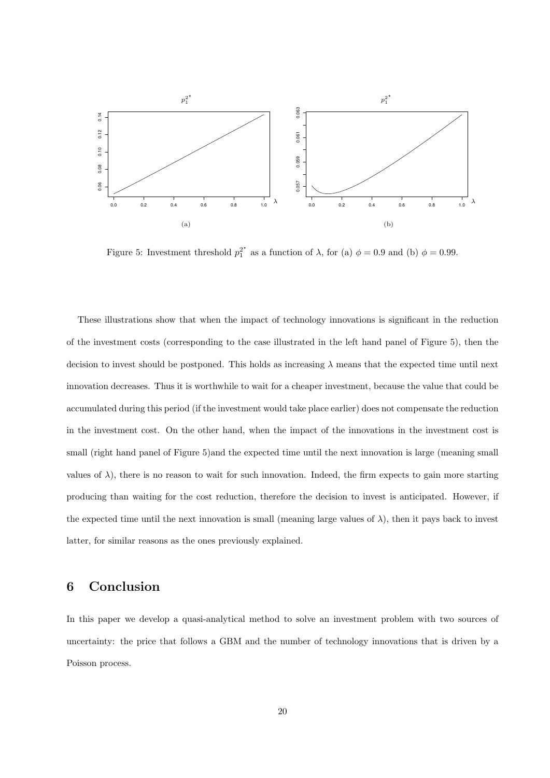

Figure 5: Investment threshold  $p_1^{2^*}$  as a function of  $\lambda$ , for (a)  $\phi = 0.9$  and (b)  $\phi = 0.99$ .

These illustrations show that when the impact of technology innovations is significant in the reduction of the investment costs (corresponding to the case illustrated in the left hand panel of Figure 5), then the decision to invest should be postponed. This holds as increasing  $\lambda$  means that the expected time until next innovation decreases. Thus it is worthwhile to wait for a cheaper investment, because the value that could be accumulated during this period (if the investment would take place earlier) does not compensate the reduction in the investment cost. On the other hand, when the impact of the innovations in the investment cost is small (right hand panel of Figure 5) and the expected time until the next innovation is large (meaning small) values of  $\lambda$ ), there is no reason to wait for such innovation. Indeed, the firm expects to gain more starting producing than waiting for the cost reduction, therefore the decision to invest is anticipated. However, if the expected time until the next innovation is small (meaning large values of  $\lambda$ ), then it pays back to invest latter, for similar reasons as the ones previously explained.

### 6 Conclusion

In this paper we develop a quasi-analytical method to solve an investment problem with two sources of uncertainty: the price that follows a GBM and the number of technology innovations that is driven by a Poisson process.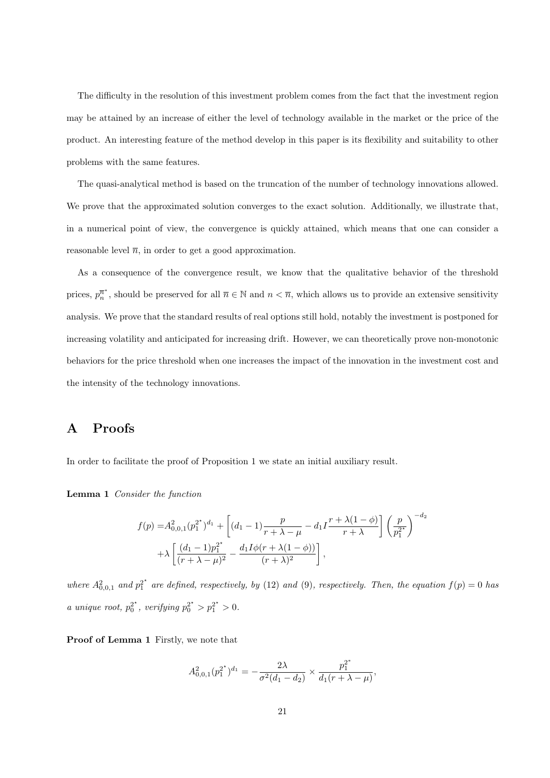The difficulty in the resolution of this investment problem comes from the fact that the investment region may be attained by an increase of either the level of technology available in the market or the price of the product. An interesting feature of the method develop in this paper is its flexibility and suitability to other problems with the same features.

The quasi-analytical method is based on the truncation of the number of technology innovations allowed. We prove that the approximated solution converges to the exact solution. Additionally, we illustrate that, in a numerical point of view, the convergence is quickly attained, which means that one can consider a reasonable level  $\overline{n}$ , in order to get a good approximation.

As a consequence of the convergence result, we know that the qualitative behavior of the threshold prices,  $p_n^{\overline{n}^*}$ , should be preserved for all  $\overline{n} \in \mathbb{N}$  and  $n < \overline{n}$ , which allows us to provide an extensive sensitivity analysis. We prove that the standard results of real options still hold, notably the investment is postponed for increasing volatility and anticipated for increasing drift. However, we can theoretically prove non-monotonic behaviors for the price threshold when one increases the impact of the innovation in the investment cost and the intensity of the technology innovations.

### A Proofs

In order to facilitate the proof of Proposition 1 we state an initial auxiliary result.

Lemma 1 Consider the function

$$
f(p) = A_{0,0,1}^2 (p_1^{2^*})^{d_1} + \left[ (d_1 - 1) \frac{p}{r + \lambda - \mu} - d_1 I \frac{r + \lambda(1 - \phi)}{r + \lambda} \right] \left( \frac{p}{p_1^{2^*}} \right)^{-d_2}
$$

$$
+ \lambda \left[ \frac{(d_1 - 1)p_1^{2^*}}{(r + \lambda - \mu)^2} - \frac{d_1 I \phi(r + \lambda(1 - \phi))}{(r + \lambda)^2} \right],
$$

where  $A_{0,0,1}^2$  and  $p_1^{2^*}$  are defined, respectively, by (12) and (9), respectively. Then, the equation  $f(p) = 0$  has *a* unique root,  $p_0^{2^*}$ , verifying  $p_0^{2^*} > p_1^{2^*} > 0$ .

Proof of Lemma 1 Firstly, we note that

$$
A_{0,0,1}^2(p_1^{2^*})^{d_1} = -\frac{2\lambda}{\sigma^2(d_1-d_2)} \times \frac{p_1^{2^*}}{d_1(r+\lambda-\mu)},
$$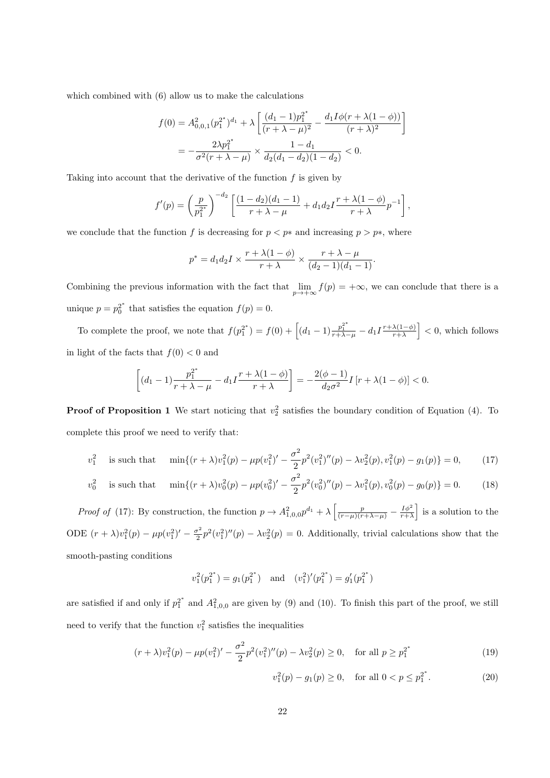which combined with (6) allow us to make the calculations

$$
f(0) = A_{0,0,1}^2 (p_1^{2^*})^{d_1} + \lambda \left[ \frac{(d_1 - 1)p_1^{2^*}}{(r + \lambda - \mu)^2} - \frac{d_1 I \phi(r + \lambda(1 - \phi))}{(r + \lambda)^2} \right]
$$
  
= 
$$
-\frac{2\lambda p_1^{2^*}}{\sigma^2 (r + \lambda - \mu)} \times \frac{1 - d_1}{d_2 (d_1 - d_2)(1 - d_2)} < 0.
$$

Taking into account that the derivative of the function  $f$  is given by

$$
f'(p) = \left(\frac{p}{p_1^{2^*}}\right)^{-d_2} \left[\frac{(1-d_2)(d_1-1)}{r+\lambda-\mu} + d_1d_2I\frac{r+\lambda(1-\phi)}{r+\lambda}p^{-1}\right],
$$

we conclude that the function f is decreasing for  $p < p^*$  and increasing  $p > p^*$ , where

$$
p^* = d_1 d_2 I \times \frac{r + \lambda(1 - \phi)}{r + \lambda} \times \frac{r + \lambda - \mu}{(d_2 - 1)(d_1 - 1)}.
$$

Combining the previous information with the fact that  $\lim_{p\to+\infty} f(p) = +\infty$ , we can conclude that there is a unique  $p = p_0^{2^*}$  that satisfies the equation  $f(p) = 0$ .

To complete the proof, we note that  $f(p_1^{2^*}) = f(0) + \left[ (d_1 - 1) \frac{p_1^{2^*}}{r + \lambda - \mu} - d_1 I \frac{r + \lambda(1-\phi)}{r + \lambda} \right]$  $\left|\frac{\lambda(1-\phi)}{r+\lambda}\right| < 0$ , which follows in light of the facts that  $f(0) < 0$  and

$$
\[ (d_1 - 1) \frac{p_1^{2^*}}{r + \lambda - \mu} - d_1 I \frac{r + \lambda(1 - \phi)}{r + \lambda} \] = -\frac{2(\phi - 1)}{d_2 \sigma^2} I[r + \lambda(1 - \phi)] < 0.
$$

**Proof of Proposition 1** We start noticing that  $v_2^2$  satisfies the boundary condition of Equation (4). To complete this proof we need to verify that:

$$
v_1^2 \quad \text{is such that} \quad \min\{(r+\lambda)v_1^2(p) - \mu p(v_1^2)' - \frac{\sigma^2}{2}p^2(v_1^2)''(p) - \lambda v_2^2(p), v_1^2(p) - g_1(p)\} = 0,\tag{17}
$$

$$
v_0^2 \quad \text{is such that} \quad \min\{(r+\lambda)v_0^2(p) - \mu p(v_0^2)' - \frac{\sigma^2}{2}p^2(v_0^2)''(p) - \lambda v_1^2(p), v_0^2(p) - g_0(p)\} = 0. \tag{18}
$$

Proof of (17): By construction, the function  $p \to A_{1,0,0}^2 p^{d_1} + \lambda \left[ \frac{p}{(r-\mu)(r+\lambda-\mu)} - \frac{I\phi^2}{r+\lambda} \right]$  is a solution to the ODE  $(r + \lambda)v_1^2(p) - \mu p(v_1^2)' - \frac{\sigma^2}{2}$  $\frac{\partial^2 p}{\partial x^2}$   $p^2(v_1^2)''(p) - \lambda v_2^2(p) = 0$ . Additionally, trivial calculations show that the smooth-pasting conditions

$$
v_1^2(p_1^{2^*}) = g_1(p_1^{2^*})
$$
 and  $(v_1^2)'(p_1^{2^*}) = g'_1(p_1^{2^*})$ 

are satisfied if and only if  $p_1^{2^*}$  and  $A_{1,0,0}^2$  are given by (9) and (10). To finish this part of the proof, we still need to verify that the function  $v_1^2$  satisfies the inequalities

$$
(r + \lambda)v_1^2(p) - \mu p(v_1^2)' - \frac{\sigma^2}{2}p^2(v_1^2)''(p) - \lambda v_2^2(p) \ge 0, \quad \text{for all } p \ge p_1^{2^*}
$$
 (19)

$$
v_1^2(p) - g_1(p) \ge 0, \quad \text{for all } 0 < p \le p_1^{2^*}.\tag{20}
$$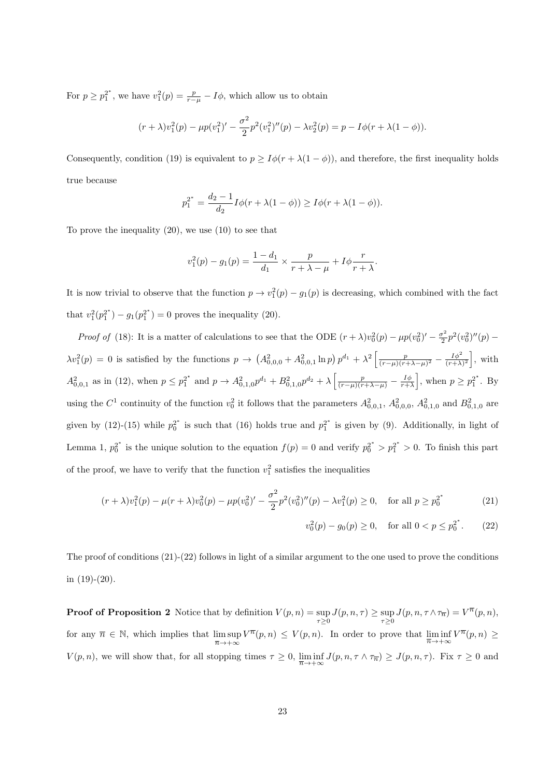For  $p \ge p_1^{2^*}$ , we have  $v_1^2(p) = \frac{p}{r-\mu} - I\phi$ , which allow us to obtain

$$
(r + \lambda)v_1^2(p) - \mu p(v_1^2)' - \frac{\sigma^2}{2}p^2(v_1^2)''(p) - \lambda v_2^2(p) = p - I\phi(r + \lambda(1 - \phi)).
$$

Consequently, condition (19) is equivalent to  $p \geq I\phi(r + \lambda(1 - \phi))$ , and therefore, the first inequality holds true because

$$
p_1^{2^*} = \frac{d_2 - 1}{d_2} I\phi(r + \lambda(1 - \phi)) \ge I\phi(r + \lambda(1 - \phi)).
$$

To prove the inequality (20), we use (10) to see that

$$
v_1^2(p) - g_1(p) = \frac{1 - d_1}{d_1} \times \frac{p}{r + \lambda - \mu} + I\phi \frac{r}{r + \lambda}.
$$

It is now trivial to observe that the function  $p \to v_1^2(p) - g_1(p)$  is decreasing, which combined with the fact that  $v_1^2(p_1^{2^*}) - g_1(p_1^{2^*}) = 0$  proves the inequality (20).

*Proof of* (18): It is a matter of calculations to see that the ODE  $(r + \lambda)v_0^2(p) - \mu p(v_0^2)' - \frac{\sigma^2}{2}$  $\frac{\sigma^2}{2}p^2(v_0^2)''(p) \lambda v_1^2(p) = 0$  is satisfied by the functions  $p \to (A_{0,0,0}^2 + A_{0,0,1}^2 \ln p) p^{d_1} + \lambda^2 \left[ \frac{p}{(r-\mu)(r+\lambda-\mu)^2} - \frac{I\phi^2}{(r+\lambda)^2} \right]$ , with  $A_{0,0,1}^2$  as in (12), when  $p \leq p_1^{2^*}$  and  $p \to A_{0,1,0}^2 p^{d_1} + B_{0,1,0}^2 p^{d_2} + \lambda \left[ \frac{p}{(r-\mu)(r+\lambda-\mu)} - \frac{I\phi}{r+\lambda} \right]$ , when  $p \geq p_1^{2^*}$ . By using the  $C^1$  continuity of the function  $v_0^2$  it follows that the parameters  $A_{0,0,1}^2$ ,  $A_{0,0,0}^2$ ,  $A_{0,1,0}^2$  and  $B_{0,1,0}^2$  are given by (12)-(15) while  $p_0^{2^*}$  is such that (16) holds true and  $p_1^{2^*}$  is given by (9). Additionally, in light of Lemma 1,  $p_0^{2^*}$  is the unique solution to the equation  $f(p) = 0$  and verify  $p_0^{2^*} > p_1^{2^*} > 0$ . To finish this part of the proof, we have to verify that the function  $v_1^2$  satisfies the inequalities

$$
(r + \lambda)v_1^2(p) - \mu(r + \lambda)v_0^2(p) - \mu p(v_0^2)' - \frac{\sigma^2}{2}p^2(v_0^2)''(p) - \lambda v_1^2(p) \ge 0, \quad \text{for all } p \ge p_0^{2^*}
$$
 (21)

$$
v_0^2(p) - g_0(p) \ge 0, \quad \text{for all } 0 < p \le p_0^{2^*}.\tag{22}
$$

The proof of conditions (21)-(22) follows in light of a similar argument to the one used to prove the conditions in (19)-(20).

**Proof of Proposition 2** Notice that by definition  $V(p,n) = \sup_{\tau \geq 0} J(p,n,\tau) \geq \sup_{\tau \geq 0} J(p,n,\tau \wedge \tau_{\overline{n}}) = V^{\overline{n}}(p,n)$ , for any  $\overline{n} \in \mathbb{N}$ , which implies that  $\limsup_{\overline{n}\to+\infty} V^{\overline{n}}(p,n) \leq V(p,n)$ . In order to prove that  $\liminf_{\overline{n}\to+\infty} V^{\overline{n}}(p,n) \geq$  $V(p,n)$ , we will show that, for all stopping times  $\tau \geq 0$ ,  $\liminf_{n \to +\infty} J(p,n,\tau \wedge \tau_{\overline{n}}) \geq J(p,n,\tau)$ . Fix  $\tau \geq 0$  and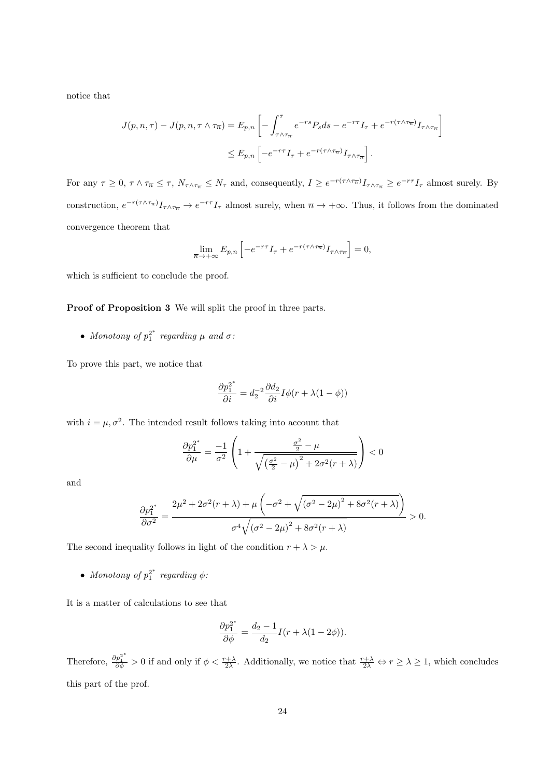notice that

$$
J(p,n,\tau) - J(p,n,\tau \wedge \tau_{\overline{n}}) = E_{p,n} \left[ - \int_{\tau \wedge \tau_{\overline{n}}}^{\tau} e^{-rs} P_s ds - e^{-r\tau} I_{\tau} + e^{-r(\tau \wedge \tau_{\overline{n}})} I_{\tau \wedge \tau_{\overline{n}}} \right]
$$
  

$$
\leq E_{p,n} \left[ -e^{-r\tau} I_{\tau} + e^{-r(\tau \wedge \tau_{\overline{n}})} I_{\tau \wedge \tau_{\overline{n}}} \right].
$$

For any  $\tau \geq 0$ ,  $\tau \wedge \tau_{\overline{n}} \leq \tau$ ,  $N_{\tau \wedge \tau_{\overline{n}}} \leq N_{\tau}$  and, consequently,  $I \geq e^{-r(\tau \wedge \tau_{\overline{n}})} I_{\tau \wedge \tau_{\overline{n}}} \geq e^{-r\tau} I_{\tau}$  almost surely. By construction,  $e^{-r(\tau \wedge \tau_{\overline{n}})} I_{\tau \wedge \tau_{\overline{n}}} \to e^{-r\tau} I_{\tau}$  almost surely, when  $\overline{n} \to +\infty$ . Thus, it follows from the dominated convergence theorem that

$$
\lim_{\overline{n}\to+\infty} E_{p,n} \left[ -e^{-r\tau} I_{\tau} + e^{-r(\tau\wedge\tau_{\overline{n}})} I_{\tau\wedge\tau_{\overline{n}}} \right] = 0,
$$

which is sufficient to conclude the proof.

Proof of Proposition 3 We will split the proof in three parts.

• Monotony of  $p_1^{2^*}$  regarding  $\mu$  and  $\sigma$ :

To prove this part, we notice that

$$
\frac{\partial p_1^{2^*}}{\partial i}=d_2^{-2}\frac{\partial d_2}{\partial i}I\phi(r+\lambda(1-\phi))
$$

with  $i = \mu, \sigma^2$ . The intended result follows taking into account that

$$
\frac{\partial p_1^{2^*}}{\partial \mu} = \frac{-1}{\sigma^2} \left( 1 + \frac{\frac{\sigma^2}{2} - \mu}{\sqrt{\left(\frac{\sigma^2}{2} - \mu\right)^2 + 2\sigma^2(r + \lambda)}} \right) < 0
$$

and

$$
\frac{\partial p_1^{2^*}}{\partial \sigma^2} = \frac{2\mu^2 + 2\sigma^2(r + \lambda) + \mu \left(-\sigma^2 + \sqrt{(\sigma^2 - 2\mu)^2 + 8\sigma^2(r + \lambda)}\right)}{\sigma^4 \sqrt{(\sigma^2 - 2\mu)^2 + 8\sigma^2(r + \lambda)}} > 0.
$$

The second inequality follows in light of the condition  $r + \lambda > \mu$ .

• Monotony of  $p_1^{2^*}$  regarding  $\phi$ :

It is a matter of calculations to see that

$$
\frac{\partial p_1^{2^*}}{\partial \phi} = \frac{d_2 - 1}{d_2} I(r + \lambda(1 - 2\phi)).
$$

Therefore,  $\frac{\partial p_1^{2^*}}{\partial \phi} > 0$  if and only if  $\phi < \frac{r+\lambda}{2\lambda}$ . Additionally, we notice that  $\frac{r+\lambda}{2\lambda} \Leftrightarrow r \ge \lambda \ge 1$ , which concludes this part of the prof.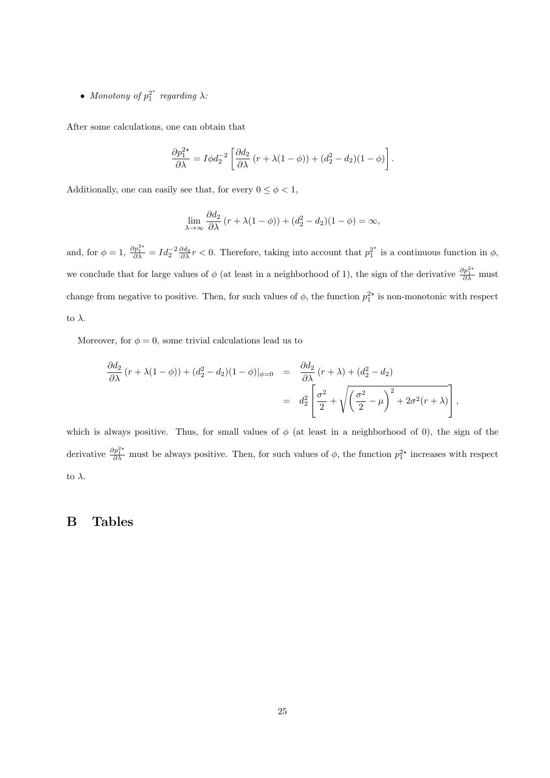• Monotony of  $p_1^{2^*}$  regarding  $\lambda$ :

After some calculations, one can obtain that

$$
\frac{\partial p_1^{2*}}{\partial \lambda} = I \phi d_2^{-2} \left[ \frac{\partial d_2}{\partial \lambda} (r + \lambda (1 - \phi)) + (d_2^2 - d_2)(1 - \phi) \right].
$$

Additionally, one can easily see that, for every  $0\leq \phi <1,$ 

$$
\lim_{\lambda \to \infty} \frac{\partial d_2}{\partial \lambda} (r + \lambda(1 - \phi)) + (d_2^2 - d_2)(1 - \phi) = \infty,
$$

and, for  $\phi = 1$ ,  $\frac{\partial p_1^{2*}}{\partial \lambda} = Id_2^{-2} \frac{\partial d_2}{\partial \lambda} r < 0$ . Therefore, taking into account that  $p_1^{2*}$  is a continuous function in  $\phi$ , we conclude that for large values of  $\phi$  (at least in a neighborhood of 1), the sign of the derivative  $\frac{\partial p_1^{2*}}{\partial \lambda}$  must change from negative to positive. Then, for such values of  $\phi$ , the function  $p_1^{2*}$  is non-monotonic with respect to  $\lambda$ .

Moreover, for  $\phi = 0$ , some trivial calculations lead us to

$$
\frac{\partial d_2}{\partial \lambda} (r + \lambda(1 - \phi)) + (d_2^2 - d_2)(1 - \phi)|_{\phi=0} = \frac{\partial d_2}{\partial \lambda} (r + \lambda) + (d_2^2 - d_2)
$$
  
= 
$$
d_2^2 \left[ \frac{\sigma^2}{2} + \sqrt{\left(\frac{\sigma^2}{2} - \mu\right)^2 + 2\sigma^2(r + \lambda)} \right],
$$

which is always positive. Thus, for small values of  $\phi$  (at least in a neighborhood of 0), the sign of the derivative  $\frac{\partial p_1^{2*}}{\partial \lambda}$  must be always positive. Then, for such values of  $\phi$ , the function  $p_1^{2*}$  increases with respect to  $\lambda$ .

#### B Tables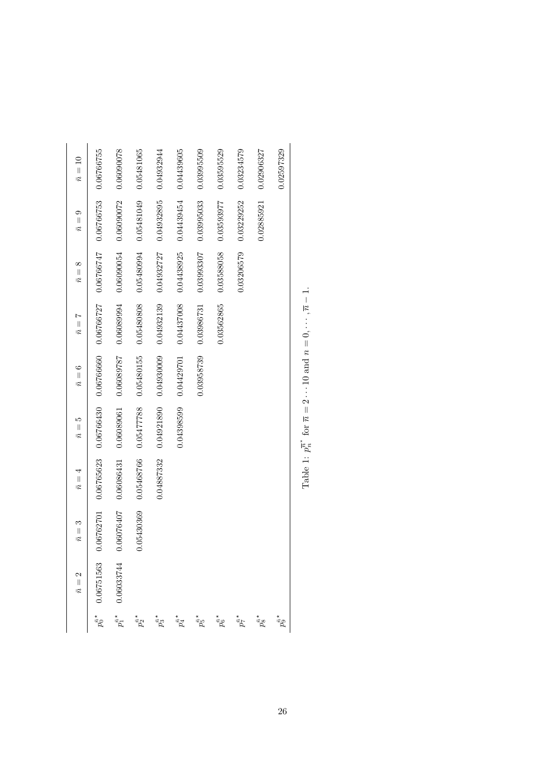|                                | $\mathbf{\hat{c}}$<br>$\bar{n} =$ | $\bar{n}=3$ | $\bar{n}=4$ | ເລ<br>$\bar{n}$ = | $\bar{n}=6$ | $\bar{n}=7$           | ∞<br>$\bar{n}$ = | ග<br>$\bar{n} =$ | $\bar{n}=10$ |
|--------------------------------|-----------------------------------|-------------|-------------|-------------------|-------------|-----------------------|------------------|------------------|--------------|
|                                | 0.06751563                        | 0.06762701  | 0.06765623  | 0.06766430        | 0.06766660  | 0.06766727            | 0.06766747       | 0.06766753       | 0.06766755   |
|                                |                                   | 0.06076407  | 0.06086431  | 0.06089061        | 0.06089787  | 0.06089994            | 0.06090054       | 0.06090072       | 0.06090078   |
| $p_2^{\bar n \star}$           |                                   | 0.05430369  | 0.05468766  | 0.05477788        | 0.05480155  | 0.05480808            | 0.05480994       | 0.05481049       | 0.05481065   |
| $p_3^{\bar n \star}$           |                                   |             | 0.04887332  | 0.04921890        | 0.04930009  | 0.04932139            | 0.04932727       | 0.04932895       | 0.04932944   |
| $p_4^{\bar n \, \star}$        |                                   |             |             | 0.04398599        | 0.04429701  | 0.04437008 0.04438925 |                  | 0.04439454       | 0.04439605   |
| $\rho_5^{\bar n \, \star}$     |                                   |             |             |                   | 0.03958739  | 0.03986731            | 0.03993307       | 0.03995033       | 0.03995509   |
| $\rho_6^{\bar{\tilde{\eta}}*}$ |                                   |             |             |                   |             | 0.03562865            | 0.03588058       | 0.03593977       | 0.03595529   |
| $p_7^{\tilde n \star}$         |                                   |             |             |                   |             |                       | 0.03206579       | 0.03229252       | 0.03234579   |
| $p_8^{\bar{\bar{n}}*}$         |                                   |             |             |                   |             |                       |                  | 0.02885921       | 0.02906327   |
| $\rho_9^{\bar n}$              |                                   |             |             |                   |             |                       |                  |                  | 0.02597329   |
|                                |                                   |             |             |                   |             |                       |                  |                  |              |

Table 1:  $p_n^{\overline{n}^*}$  for  $\overline{n}=2\cdots 10$  and  $n=0,\cdots,\overline{n}-1.$ Table 1:  $p_n^{\pi^*}$  for  $\overline{n} = 2 \cdots 10$  and  $n = 0, \cdots, \overline{n} - 1$ .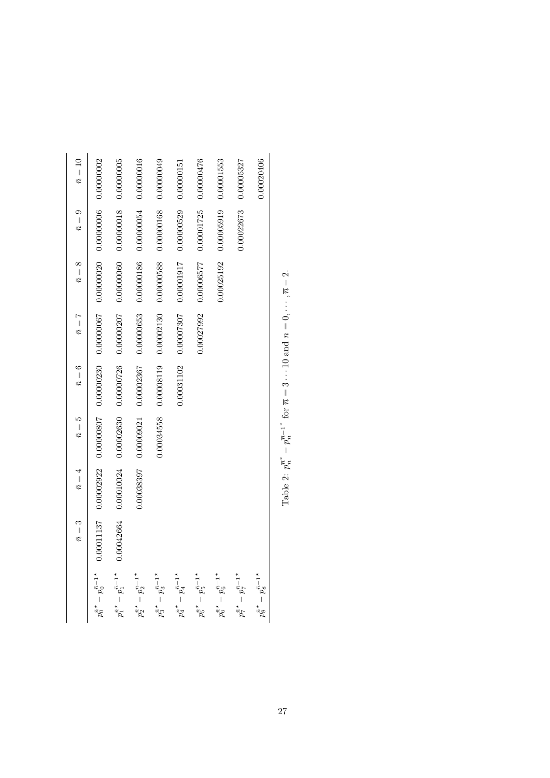|                                                     | $\bar{n}=3$ | $\bar{n}=4$           | $\bar{n}=5$ | $\bar{n}=6$                            | $\bar{n}=7$ | $\bar{n}=8$ | $\bar{n}=9$                      | $\bar{n}=10$ |
|-----------------------------------------------------|-------------|-----------------------|-------------|----------------------------------------|-------------|-------------|----------------------------------|--------------|
| $p_0^{\bar{n} \, \star} - p_0^{\bar{n}-1 \, \star}$ |             | 0.00011137 0.00002922 |             | $0.00000807$ $0.000000230$ 0.000000067 |             |             | 0.00000020 0.00000006 0.00000002 |              |
| $p_1^{\bar{n} *}-p_1^{\bar{n}-1*}$                  | 0.00042664  | 0.00010024            | 0.00002630  | 0.00000726                             | 0.000000207 | 0.00000060  | 0.00000018                       | 0.00000005   |
| $p_2^{\bar{n} *}-p_2^{\bar{n}-1*}$                  |             | 0.00038397            | 0.00009021  | 0.00002367                             | 0.00000653  | 0.00000186  | 0.00000054                       | 0.00000016   |
| $p_3^{\bar{n} *} - p_3^{\bar{n}-1*}$                |             |                       | 0.00034558  | 0.00008119                             | 0.00002130  | 0.00000588  | 0.00000168                       | 0.00000049   |
| $p_4^{\bar{n} *}-p_4^{\bar{n}-1*}$                  |             |                       |             | 0.00031102                             | 0.00007307  | 100000017   | 0.00000529                       | 0.00000151   |
| $p_5^{\bar{n} \,*} - p_5^{\bar{n}-1\,*}$            |             |                       |             |                                        | 0.00027992  | 0.00006577  | 0.00001725                       | 0.00000476   |
| $p_6^{\bar n\,*}-p_6^{\bar n-1\,*}$                 |             |                       |             |                                        |             | 0.00025192  | 0.00005919                       | 0.00001553   |
| $p_7^{\bar n \, \star} - p_7^{\bar n - 1 \, \star}$ |             |                       |             |                                        |             |             | 0.00022673                       | 0.00005327   |
| $p_8^{\bar{n} *}-p_8^{\bar{n}-1*}$                  |             |                       |             |                                        |             |             |                                  | 0.00020406   |
|                                                     |             |                       |             |                                        |             |             |                                  |              |

Table 2:  $p_n^{\overline{n}^*} - p_n^{\overline{n}-1^*}$  for  $\overline{n} = 3 \cdots 10$  and  $n = 0, \cdots, \overline{n} - 2$ . Table 2:  $p_n^{\pi^*} - p_n^{\overline{n}-1^*}$  for  $\overline{n} = 3 \cdots 10$  and  $n = 0, \cdots, \overline{n} - 2$ .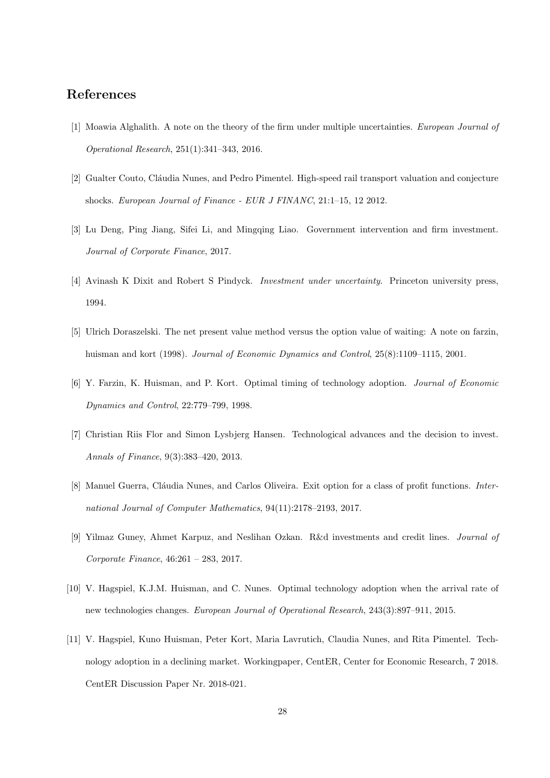## References

- [1] Moawia Alghalith. A note on the theory of the firm under multiple uncertainties. European Journal of Operational Research, 251(1):341–343, 2016.
- [2] Gualter Couto, Cláudia Nunes, and Pedro Pimentel. High-speed rail transport valuation and conjecture shocks. European Journal of Finance - EUR J FINANC, 21:1–15, 12 2012.
- [3] Lu Deng, Ping Jiang, Sifei Li, and Mingqing Liao. Government intervention and firm investment. Journal of Corporate Finance, 2017.
- [4] Avinash K Dixit and Robert S Pindyck. Investment under uncertainty. Princeton university press, 1994.
- [5] Ulrich Doraszelski. The net present value method versus the option value of waiting: A note on farzin, huisman and kort (1998). Journal of Economic Dynamics and Control, 25(8):1109–1115, 2001.
- [6] Y. Farzin, K. Huisman, and P. Kort. Optimal timing of technology adoption. Journal of Economic Dynamics and Control, 22:779–799, 1998.
- [7] Christian Riis Flor and Simon Lysbjerg Hansen. Technological advances and the decision to invest. Annals of Finance, 9(3):383–420, 2013.
- [8] Manuel Guerra, Cláudia Nunes, and Carlos Oliveira. Exit option for a class of profit functions. International Journal of Computer Mathematics, 94(11):2178–2193, 2017.
- [9] Yilmaz Guney, Ahmet Karpuz, and Neslihan Ozkan. R&d investments and credit lines. Journal of Corporate Finance, 46:261 – 283, 2017.
- [10] V. Hagspiel, K.J.M. Huisman, and C. Nunes. Optimal technology adoption when the arrival rate of new technologies changes. European Journal of Operational Research, 243(3):897–911, 2015.
- [11] V. Hagspiel, Kuno Huisman, Peter Kort, Maria Lavrutich, Claudia Nunes, and Rita Pimentel. Technology adoption in a declining market. Workingpaper, CentER, Center for Economic Research, 7 2018. CentER Discussion Paper Nr. 2018-021.